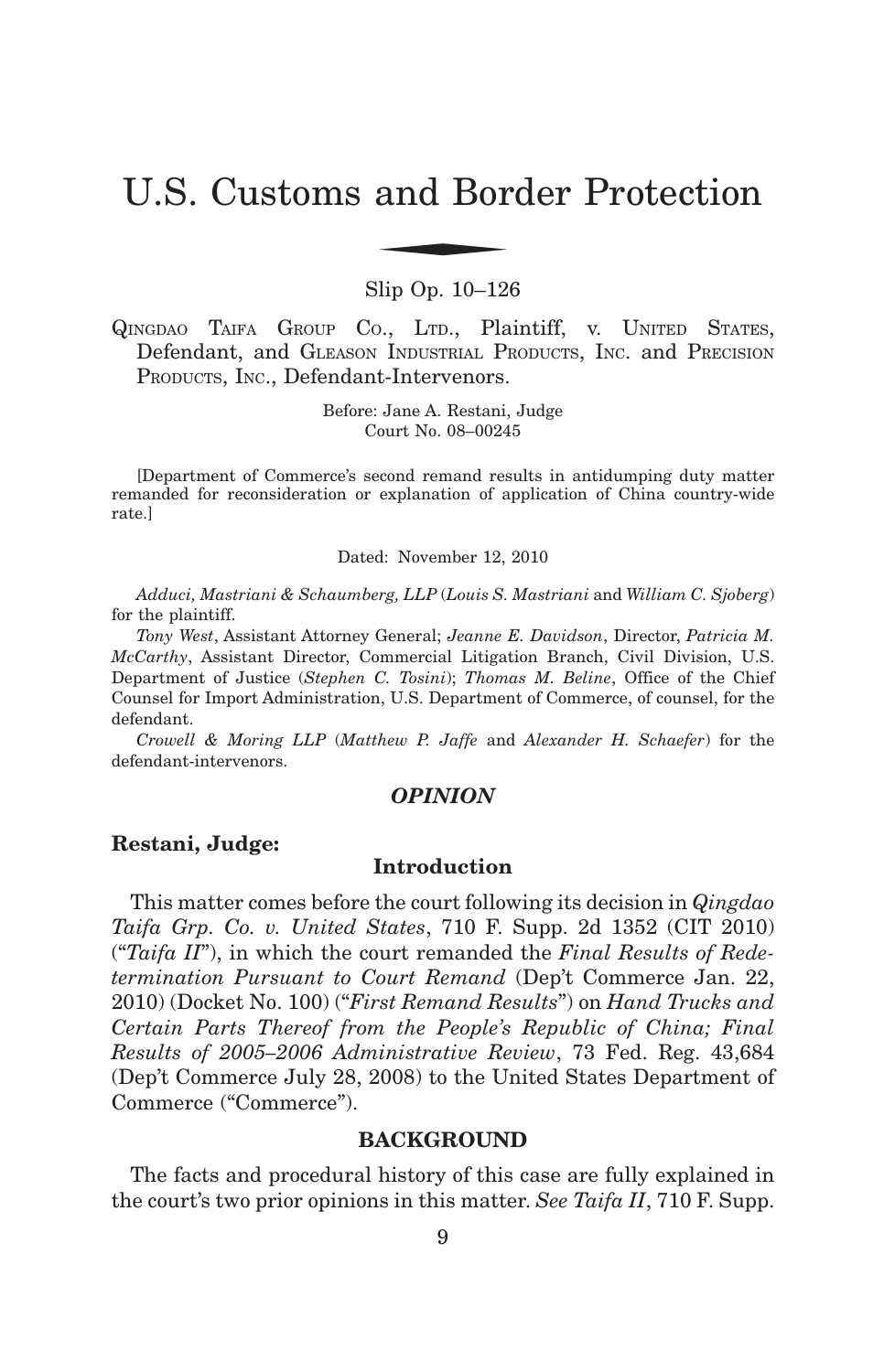# U.S. Customs and Border Protection and Bor

Slip Op. 10–126

QINGDAO TAIFA GROUP CO., LTD., Plaintiff, v. UNITED STATES, Defendant, and GLEASON INDUSTRIAL PRODUCTS, INC. and PRECISION PRODUCTS, INC., Defendant-Intervenors.

> Before: Jane A. Restani, Judge Court No. 08–00245

[Department of Commerce's second remand results in antidumping duty matter remanded for reconsideration or explanation of application of China country-wide rate.]

Dated: November 12, 2010

*Adduci, Mastriani & Schaumberg, LLP* (*Louis S. Mastriani* and *William C. Sjoberg*) for the plaintiff.

*Tony West*, Assistant Attorney General; *Jeanne E. Davidson*, Director, *Patricia M. McCarthy*, Assistant Director, Commercial Litigation Branch, Civil Division, U.S. Department of Justice (*Stephen C. Tosini*); *Thomas M. Beline*, Office of the Chief Counsel for Import Administration, U.S. Department of Commerce, of counsel, for the defendant.

*Crowell & Moring LLP* (*Matthew P. Jaffe* and *Alexander H. Schaefer*) for the defendant-intervenors.

# *OPINION*

### **Restani, Judge:**

#### **Introduction**

This matter comes before the court following its decision in *Qingdao Taifa Grp. Co. v. United States*, 710 F. Supp. 2d 1352 (CIT 2010) ("*Taifa II*"), in which the court remanded the *Final Results of Redetermination Pursuant to Court Remand* (Dep't Commerce Jan. 22, 2010) (Docket No. 100) ("*First Remand Results*") on *Hand Trucks and Certain Parts Thereof from the People's Republic of China; Final Results of 2005–2006 Administrative Review*, 73 Fed. Reg. 43,684 (Dep't Commerce July 28, 2008) to the United States Department of Commerce ("Commerce").

## **BACKGROUND**

The facts and procedural history of this case are fully explained in the court's two prior opinions in this matter. *See Taifa II*, 710 F. Supp.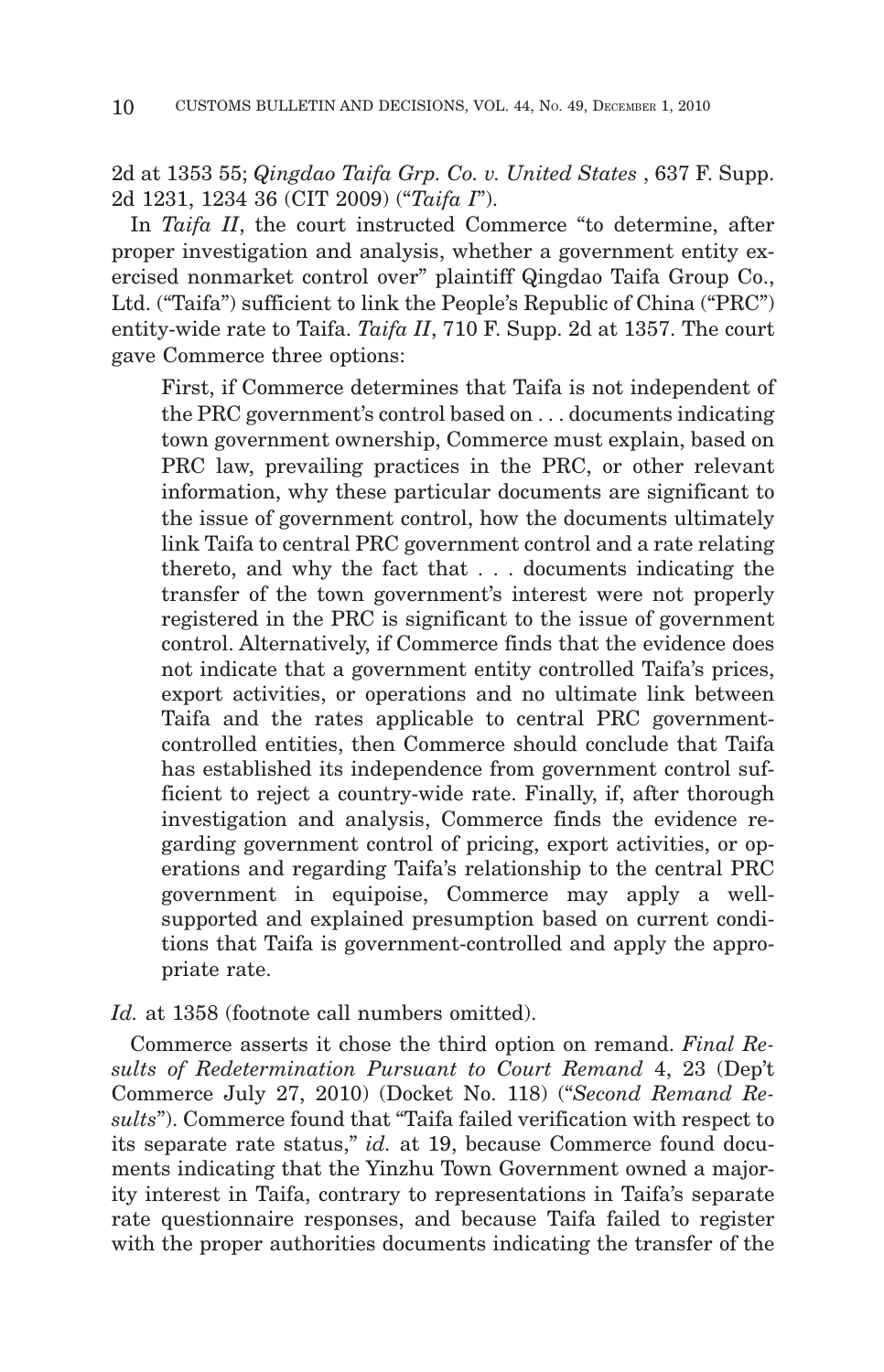2d at 1353 55; *Qingdao Taifa Grp. Co. v. United States* , 637 F. Supp. 2d 1231, 1234 36 (CIT 2009) ("*Taifa I*").

In *Taifa II*, the court instructed Commerce "to determine, after proper investigation and analysis, whether a government entity exercised nonmarket control over" plaintiff Qingdao Taifa Group Co., Ltd. ("Taifa") sufficient to link the People's Republic of China ("PRC") entity-wide rate to Taifa. *Taifa II*, 710 F. Supp. 2d at 1357. The court gave Commerce three options:

First, if Commerce determines that Taifa is not independent of the PRC government's control based on... documents indicating town government ownership, Commerce must explain, based on PRC law, prevailing practices in the PRC, or other relevant information, why these particular documents are significant to the issue of government control, how the documents ultimately link Taifa to central PRC government control and a rate relating thereto, and why the fact that... documents indicating the transfer of the town government's interest were not properly registered in the PRC is significant to the issue of government control. Alternatively, if Commerce finds that the evidence does not indicate that a government entity controlled Taifa's prices, export activities, or operations and no ultimate link between Taifa and the rates applicable to central PRC governmentcontrolled entities, then Commerce should conclude that Taifa has established its independence from government control sufficient to reject a country-wide rate. Finally, if, after thorough investigation and analysis, Commerce finds the evidence regarding government control of pricing, export activities, or operations and regarding Taifa's relationship to the central PRC government in equipoise, Commerce may apply a wellsupported and explained presumption based on current conditions that Taifa is government-controlled and apply the appropriate rate.

*Id.* at 1358 (footnote call numbers omitted).

Commerce asserts it chose the third option on remand. *Final Results of Redetermination Pursuant to Court Remand* 4, 23 (Dep't Commerce July 27, 2010) (Docket No. 118) ("*Second Remand Results*"). Commerce found that "Taifa failed verification with respect to its separate rate status," *id.* at 19, because Commerce found documents indicating that the Yinzhu Town Government owned a majority interest in Taifa, contrary to representations in Taifa's separate rate questionnaire responses, and because Taifa failed to register with the proper authorities documents indicating the transfer of the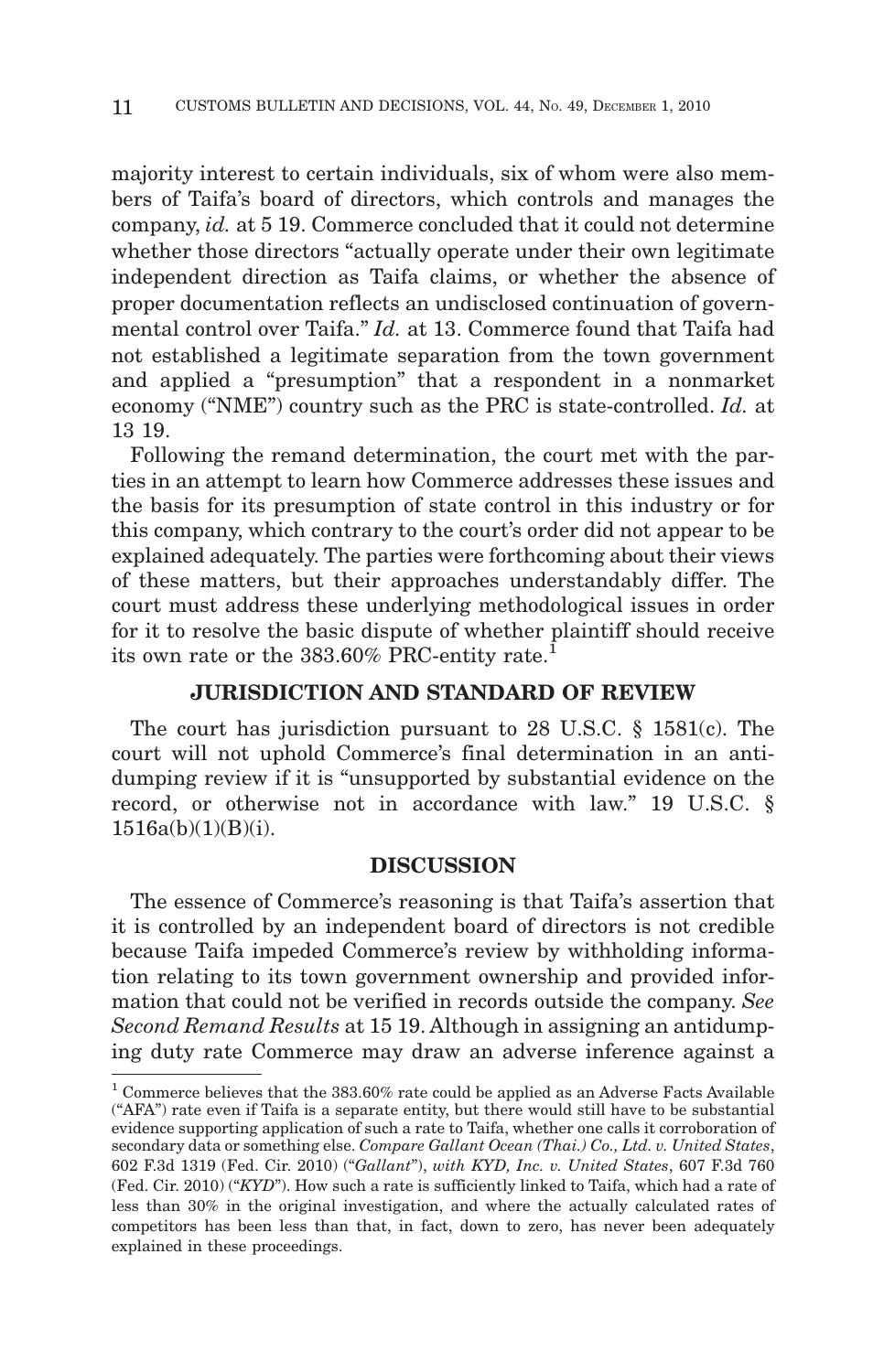majority interest to certain individuals, six of whom were also members of Taifa's board of directors, which controls and manages the company, *id.* at 5 19. Commerce concluded that it could not determine whether those directors "actually operate under their own legitimate independent direction as Taifa claims, or whether the absence of proper documentation reflects an undisclosed continuation of governmental control over Taifa." *Id.* at 13. Commerce found that Taifa had not established a legitimate separation from the town government and applied a "presumption" that a respondent in a nonmarket economy ("NME") country such as the PRC is state-controlled. *Id.* at 13 19.

Following the remand determination, the court met with the parties in an attempt to learn how Commerce addresses these issues and the basis for its presumption of state control in this industry or for this company, which contrary to the court's order did not appear to be explained adequately. The parties were forthcoming about their views of these matters, but their approaches understandably differ. The court must address these underlying methodological issues in order for it to resolve the basic dispute of whether plaintiff should receive its own rate or the 383.60% PRC-entity rate.<sup>1</sup>

## **JURISDICTION AND STANDARD OF REVIEW**

The court has jurisdiction pursuant to 28 U.S.C. § 1581(c). The court will not uphold Commerce's final determination in an antidumping review if it is "unsupported by substantial evidence on the record, or otherwise not in accordance with law." 19 U.S.C. § 1516a(b)(1)(B)(i).

## **DISCUSSION**

The essence of Commerce's reasoning is that Taifa's assertion that it is controlled by an independent board of directors is not credible because Taifa impeded Commerce's review by withholding information relating to its town government ownership and provided information that could not be verified in records outside the company. *See Second Remand Results* at 15 19. Although in assigning an antidumping duty rate Commerce may draw an adverse inference against a

<sup>&</sup>lt;sup>1</sup> Commerce believes that the 383.60% rate could be applied as an Adverse Facts Available ("AFA") rate even if Taifa is a separate entity, but there would still have to be substantial evidence supporting application of such a rate to Taifa, whether one calls it corroboration of secondary data or something else. *Compare Gallant Ocean (Thai.) Co., Ltd. v. United States*, 602 F.3d 1319 (Fed. Cir. 2010) ("*Gallant*"), *with KYD, Inc. v. United States*, 607 F.3d 760 (Fed. Cir. 2010) ("*KYD*"). How such a rate is sufficiently linked to Taifa, which had a rate of less than 30% in the original investigation, and where the actually calculated rates of competitors has been less than that, in fact, down to zero, has never been adequately explained in these proceedings.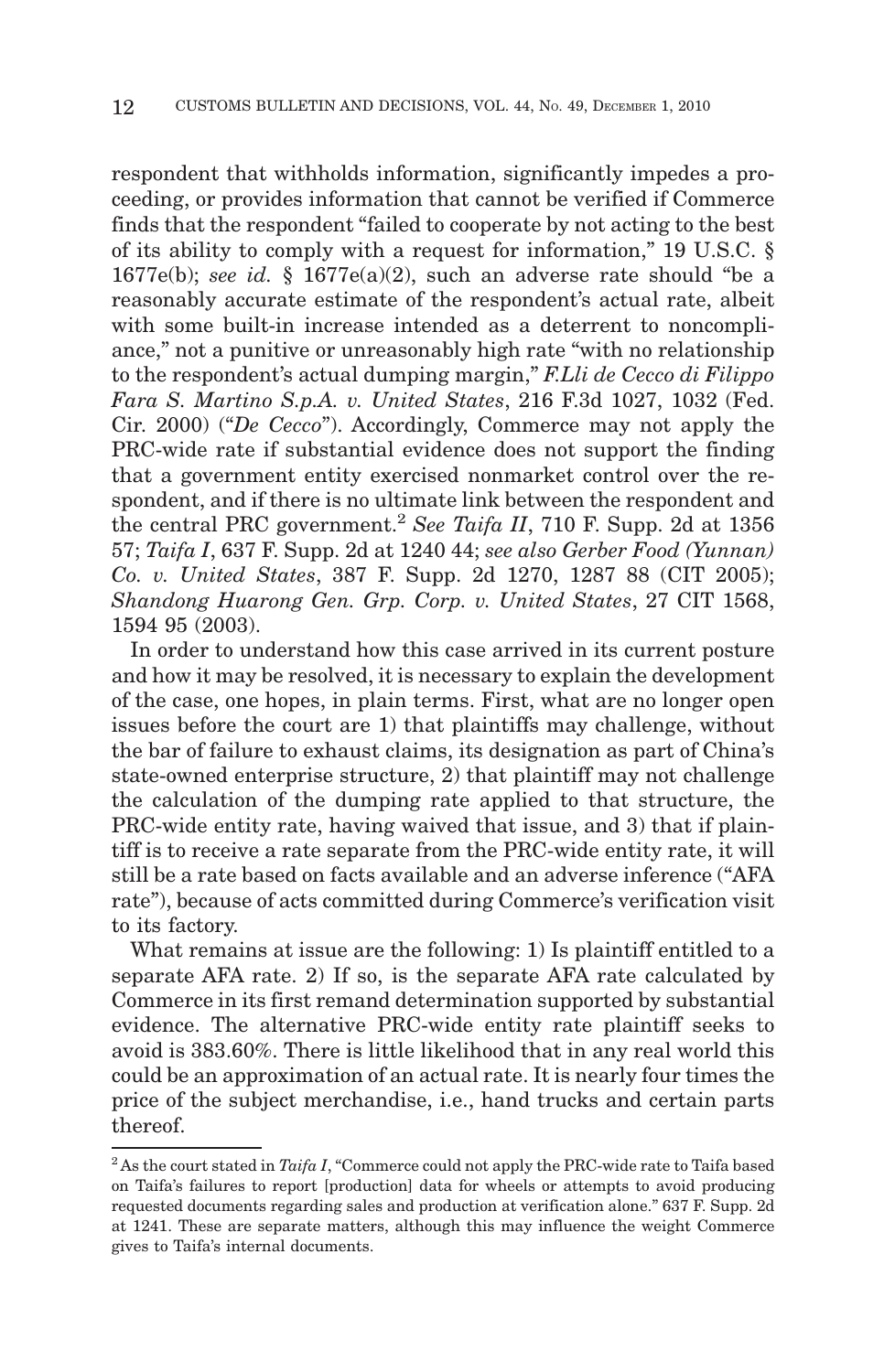respondent that withholds information, significantly impedes a proceeding, or provides information that cannot be verified if Commerce finds that the respondent "failed to cooperate by not acting to the best of its ability to comply with a request for information," 19 U.S.C. § 1677e(b); *see id.* § 1677e(a)(2), such an adverse rate should "be a reasonably accurate estimate of the respondent's actual rate, albeit with some built-in increase intended as a deterrent to noncompliance," not a punitive or unreasonably high rate "with no relationship to the respondent's actual dumping margin," *F.Lli de Cecco di Filippo Fara S. Martino S.p.A. v. United States*, 216 F.3d 1027, 1032 (Fed. Cir. 2000) ("*De Cecco*"). Accordingly, Commerce may not apply the PRC-wide rate if substantial evidence does not support the finding that a government entity exercised nonmarket control over the respondent, and if there is no ultimate link between the respondent and the central PRC government.<sup>2</sup> See Taifa II, 710 F. Supp. 2d at 1356 57; *Taifa I*, 637 F. Supp. 2d at 1240 44; *see also Gerber Food (Yunnan) Co. v. United States*, 387 F. Supp. 2d 1270, 1287 88 (CIT 2005); *Shandong Huarong Gen. Grp. Corp. v. United States*, 27 CIT 1568, 1594 95 (2003).

In order to understand how this case arrived in its current posture and how it may be resolved, it is necessary to explain the development of the case, one hopes, in plain terms. First, what are no longer open issues before the court are 1) that plaintiffs may challenge, without the bar of failure to exhaust claims, its designation as part of China's state-owned enterprise structure, 2) that plaintiff may not challenge the calculation of the dumping rate applied to that structure, the PRC-wide entity rate, having waived that issue, and 3) that if plaintiff is to receive a rate separate from the PRC-wide entity rate, it will still be a rate based on facts available and an adverse inference ("AFA rate"), because of acts committed during Commerce's verification visit to its factory.

What remains at issue are the following: 1) Is plaintiff entitled to a separate AFA rate. 2) If so, is the separate AFA rate calculated by Commerce in its first remand determination supported by substantial evidence. The alternative PRC-wide entity rate plaintiff seeks to avoid is 383.60%. There is little likelihood that in any real world this could be an approximation of an actual rate. It is nearly four times the price of the subject merchandise, i.e., hand trucks and certain parts thereof.

<sup>2</sup> As the court stated in *Taifa I*, "Commerce could not apply the PRC-wide rate to Taifa based on Taifa's failures to report [production] data for wheels or attempts to avoid producing requested documents regarding sales and production at verification alone." 637 F. Supp. 2d at 1241. These are separate matters, although this may influence the weight Commerce gives to Taifa's internal documents.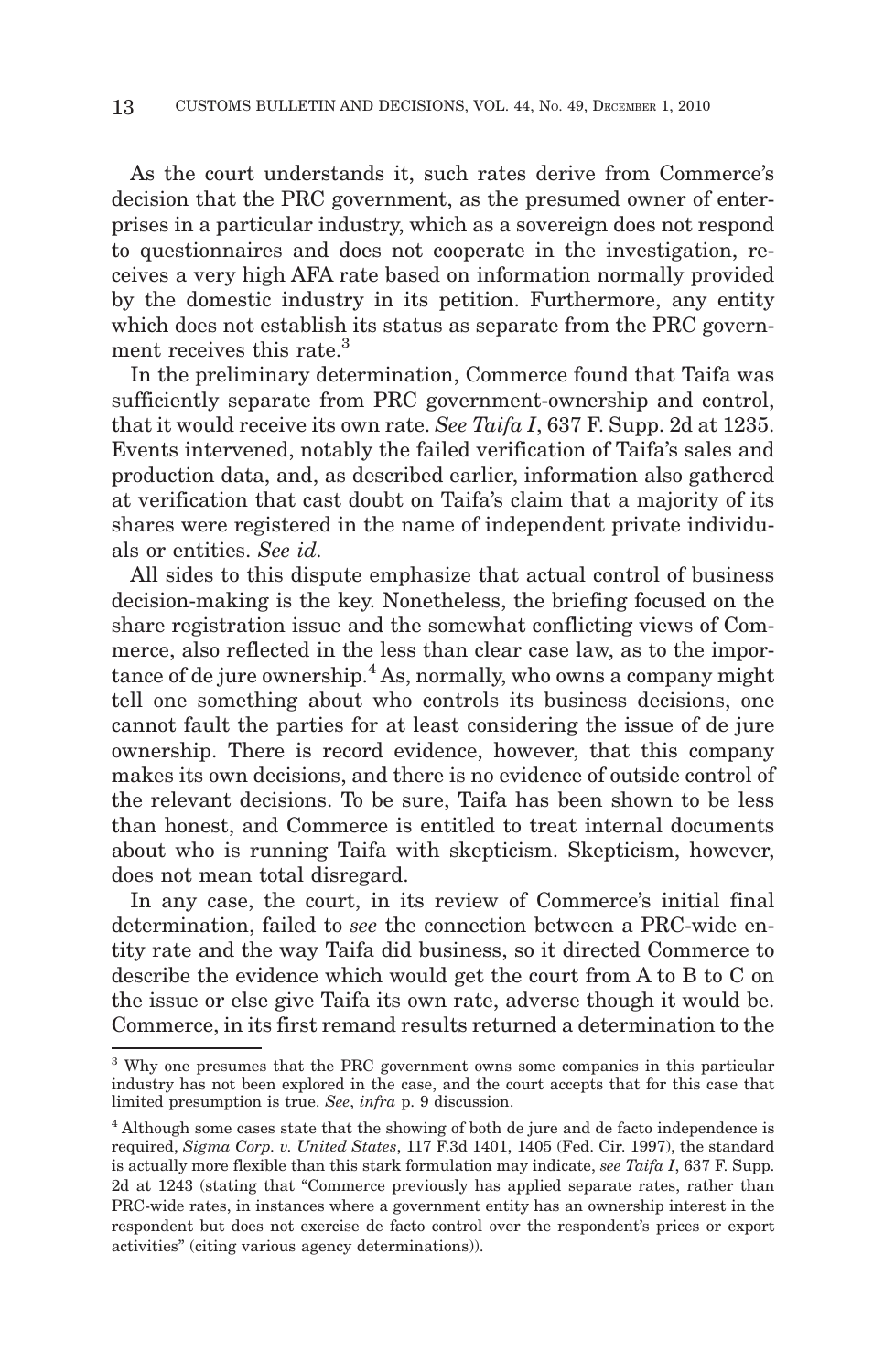As the court understands it, such rates derive from Commerce's decision that the PRC government, as the presumed owner of enterprises in a particular industry, which as a sovereign does not respond to questionnaires and does not cooperate in the investigation, receives a very high AFA rate based on information normally provided by the domestic industry in its petition. Furthermore, any entity which does not establish its status as separate from the PRC government receives this rate.<sup>3</sup>

In the preliminary determination, Commerce found that Taifa was sufficiently separate from PRC government-ownership and control, that it would receive its own rate. *See Taifa I*, 637 F. Supp. 2d at 1235. Events intervened, notably the failed verification of Taifa's sales and production data, and, as described earlier, information also gathered at verification that cast doubt on Taifa's claim that a majority of its shares were registered in the name of independent private individuals or entities. *See id.*

All sides to this dispute emphasize that actual control of business decision-making is the key. Nonetheless, the briefing focused on the share registration issue and the somewhat conflicting views of Commerce, also reflected in the less than clear case law, as to the importance of de jure ownership.<sup>4</sup> As, normally, who owns a company might tell one something about who controls its business decisions, one cannot fault the parties for at least considering the issue of de jure ownership. There is record evidence, however, that this company makes its own decisions, and there is no evidence of outside control of the relevant decisions. To be sure, Taifa has been shown to be less than honest, and Commerce is entitled to treat internal documents about who is running Taifa with skepticism. Skepticism, however, does not mean total disregard.

In any case, the court, in its review of Commerce's initial final determination, failed to *see* the connection between a PRC-wide entity rate and the way Taifa did business, so it directed Commerce to describe the evidence which would get the court from A to B to C on the issue or else give Taifa its own rate, adverse though it would be. Commerce, in its first remand results returned a determination to the

<sup>&</sup>lt;sup>3</sup> Why one presumes that the PRC government owns some companies in this particular industry has not been explored in the case, and the court accepts that for this case that limited presumption is true. *See*, *infra* p. 9 discussion.

<sup>&</sup>lt;sup>4</sup> Although some cases state that the showing of both de jure and de facto independence is required, *Sigma Corp. v. United States*, 117 F.3d 1401, 1405 (Fed. Cir. 1997), the standard is actually more flexible than this stark formulation may indicate, *see Taifa I*, 637 F. Supp. 2d at 1243 (stating that "Commerce previously has applied separate rates, rather than PRC-wide rates, in instances where a government entity has an ownership interest in the respondent but does not exercise de facto control over the respondent's prices or export activities" (citing various agency determinations)).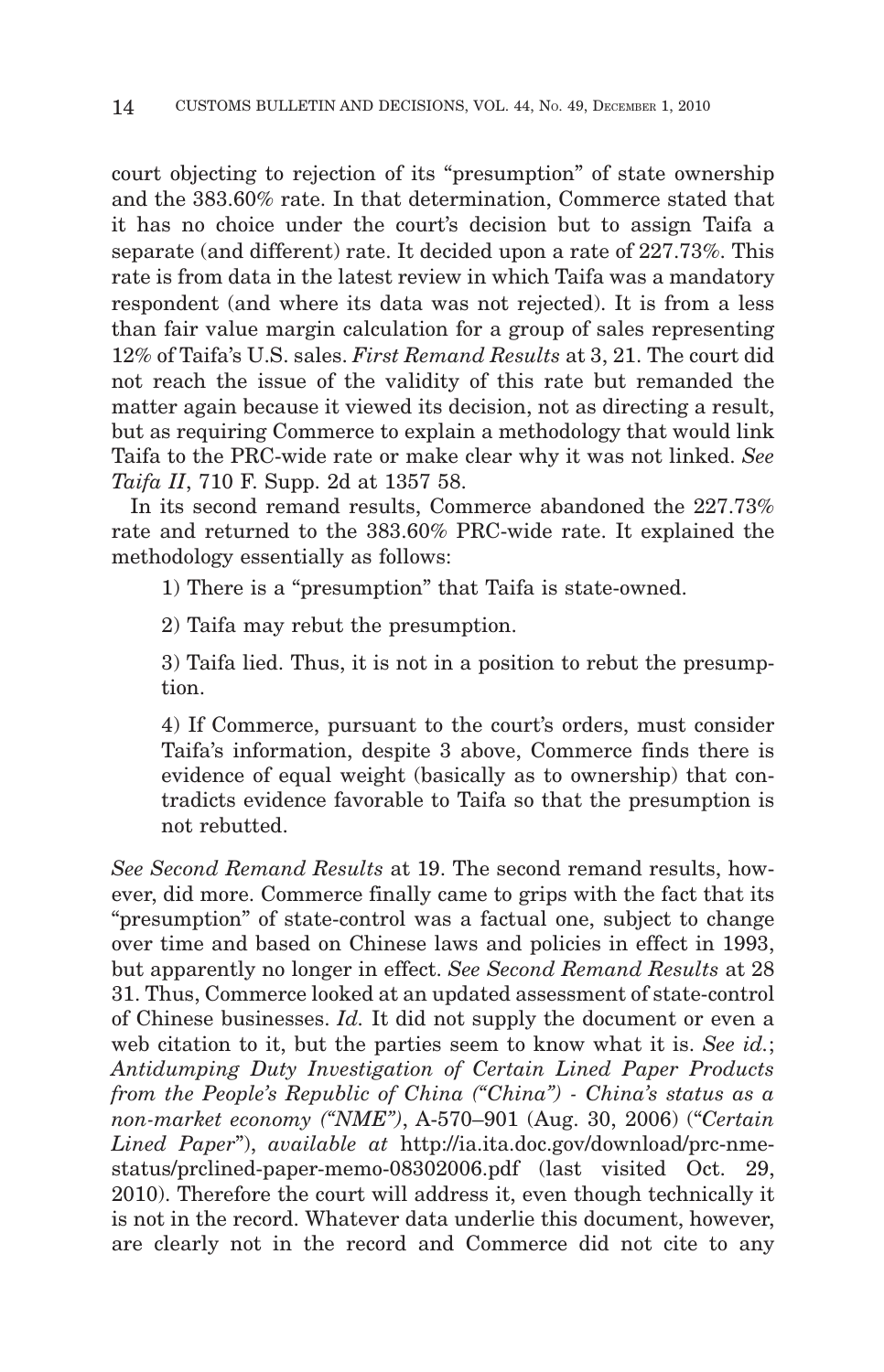court objecting to rejection of its "presumption" of state ownership and the 383.60% rate. In that determination, Commerce stated that it has no choice under the court's decision but to assign Taifa a separate (and different) rate. It decided upon a rate of 227.73%. This rate is from data in the latest review in which Taifa was a mandatory respondent (and where its data was not rejected). It is from a less than fair value margin calculation for a group of sales representing 12% of Taifa's U.S. sales. *First Remand Results* at 3, 21. The court did not reach the issue of the validity of this rate but remanded the matter again because it viewed its decision, not as directing a result, but as requiring Commerce to explain a methodology that would link Taifa to the PRC-wide rate or make clear why it was not linked. *See Taifa II*, 710 F. Supp. 2d at 1357 58.

In its second remand results, Commerce abandoned the 227.73% rate and returned to the 383.60% PRC-wide rate. It explained the methodology essentially as follows:

1) There is a "presumption" that Taifa is state-owned.

2) Taifa may rebut the presumption.

3) Taifa lied. Thus, it is not in a position to rebut the presumption.

4) If Commerce, pursuant to the court's orders, must consider Taifa's information, despite 3 above, Commerce finds there is evidence of equal weight (basically as to ownership) that contradicts evidence favorable to Taifa so that the presumption is not rebutted.

*See Second Remand Results* at 19. The second remand results, however, did more. Commerce finally came to grips with the fact that its "presumption" of state-control was a factual one, subject to change over time and based on Chinese laws and policies in effect in 1993, but apparently no longer in effect. *See Second Remand Results* at 28 31. Thus, Commerce looked at an updated assessment of state-control of Chinese businesses. *Id.* It did not supply the document or even a web citation to it, but the parties seem to know what it is. *See id.*; *Antidumping Duty Investigation of Certain Lined Paper Products from the People's Republic of China ("China") - China's status as a non-market economy ("NME")*, A-570–901 (Aug. 30, 2006) ("*Certain Lined Paper*"), *available at* http://ia.ita.doc.gov/download/prc-nmestatus/prclined-paper-memo-08302006.pdf (last visited Oct. 29, 2010). Therefore the court will address it, even though technically it is not in the record. Whatever data underlie this document, however, are clearly not in the record and Commerce did not cite to any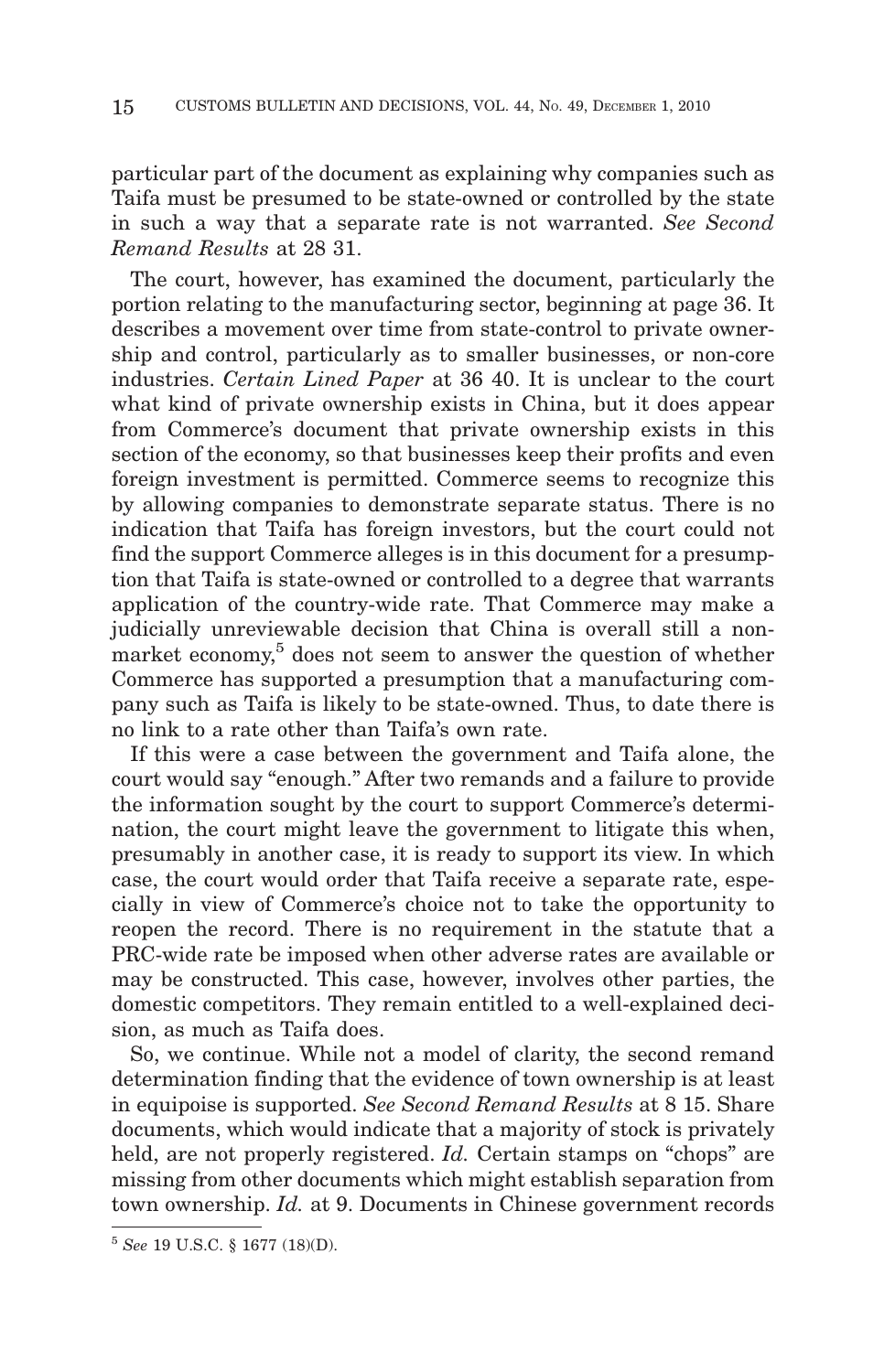particular part of the document as explaining why companies such as Taifa must be presumed to be state-owned or controlled by the state in such a way that a separate rate is not warranted. *See Second Remand Results* at 28 31.

The court, however, has examined the document, particularly the portion relating to the manufacturing sector, beginning at page 36. It describes a movement over time from state-control to private ownership and control, particularly as to smaller businesses, or non-core industries. *Certain Lined Paper* at 36 40. It is unclear to the court what kind of private ownership exists in China, but it does appear from Commerce's document that private ownership exists in this section of the economy, so that businesses keep their profits and even foreign investment is permitted. Commerce seems to recognize this by allowing companies to demonstrate separate status. There is no indication that Taifa has foreign investors, but the court could not find the support Commerce alleges is in this document for a presumption that Taifa is state-owned or controlled to a degree that warrants application of the country-wide rate. That Commerce may make a judicially unreviewable decision that China is overall still a nonmarket economy, $5$  does not seem to answer the question of whether Commerce has supported a presumption that a manufacturing company such as Taifa is likely to be state-owned. Thus, to date there is no link to a rate other than Taifa's own rate.

If this were a case between the government and Taifa alone, the court would say "enough." After two remands and a failure to provide the information sought by the court to support Commerce's determination, the court might leave the government to litigate this when, presumably in another case, it is ready to support its view. In which case, the court would order that Taifa receive a separate rate, especially in view of Commerce's choice not to take the opportunity to reopen the record. There is no requirement in the statute that a PRC-wide rate be imposed when other adverse rates are available or may be constructed. This case, however, involves other parties, the domestic competitors. They remain entitled to a well-explained decision, as much as Taifa does.

So, we continue. While not a model of clarity, the second remand determination finding that the evidence of town ownership is at least in equipoise is supported. *See Second Remand Results* at 8 15. Share documents, which would indicate that a majority of stock is privately held, are not properly registered. *Id.* Certain stamps on "chops" are missing from other documents which might establish separation from town ownership. *Id.* at 9. Documents in Chinese government records

<sup>5</sup> *See* 19 U.S.C. § 1677 (18)(D).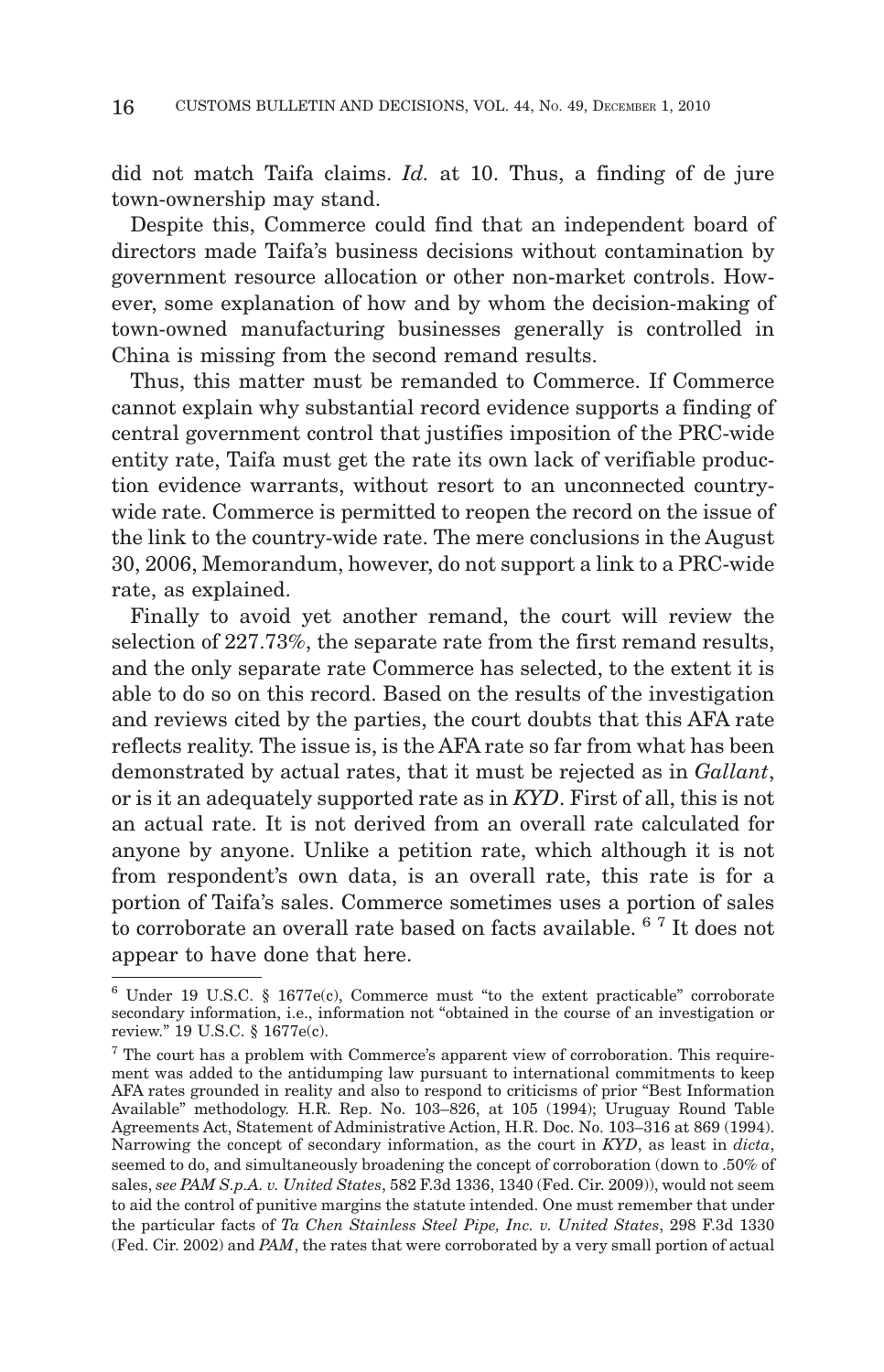did not match Taifa claims. *Id.* at 10. Thus, a finding of de jure town-ownership may stand.

Despite this, Commerce could find that an independent board of directors made Taifa's business decisions without contamination by government resource allocation or other non-market controls. However, some explanation of how and by whom the decision-making of town-owned manufacturing businesses generally is controlled in China is missing from the second remand results.

Thus, this matter must be remanded to Commerce. If Commerce cannot explain why substantial record evidence supports a finding of central government control that justifies imposition of the PRC-wide entity rate, Taifa must get the rate its own lack of verifiable production evidence warrants, without resort to an unconnected countrywide rate. Commerce is permitted to reopen the record on the issue of the link to the country-wide rate. The mere conclusions in the August 30, 2006, Memorandum, however, do not support a link to a PRC-wide rate, as explained.

Finally to avoid yet another remand, the court will review the selection of 227.73%, the separate rate from the first remand results, and the only separate rate Commerce has selected, to the extent it is able to do so on this record. Based on the results of the investigation and reviews cited by the parties, the court doubts that this AFA rate reflects reality. The issue is, is the AFA rate so far from what has been demonstrated by actual rates, that it must be rejected as in *Gallant*, or is it an adequately supported rate as in *KYD*. First of all, this is not an actual rate. It is not derived from an overall rate calculated for anyone by anyone. Unlike a petition rate, which although it is not from respondent's own data, is an overall rate, this rate is for a portion of Taifa's sales. Commerce sometimes uses a portion of sales to corroborate an overall rate based on facts available. <sup>67</sup> It does not appear to have done that here.

 $6$  Under 19 U.S.C. § 1677e(c), Commerce must "to the extent practicable" corroborate secondary information, i.e., information not "obtained in the course of an investigation or review." 19 U.S.C. § 1677e(c).

 $7$  The court has a problem with Commerce's apparent view of corroboration. This requirement was added to the antidumping law pursuant to international commitments to keep AFA rates grounded in reality and also to respond to criticisms of prior "Best Information Available" methodology. H.R. Rep. No. 103–826, at 105 (1994); Uruguay Round Table Agreements Act, Statement of Administrative Action, H.R. Doc. No. 103–316 at 869 (1994). Narrowing the concept of secondary information, as the court in *KYD*, as least in *dicta*, seemed to do, and simultaneously broadening the concept of corroboration (down to .50% of sales, *see PAM S.p.A. v. United States*, 582 F.3d 1336, 1340 (Fed. Cir. 2009)), would not seem to aid the control of punitive margins the statute intended. One must remember that under the particular facts of *Ta Chen Stainless Steel Pipe, Inc. v. United States*, 298 F.3d 1330 (Fed. Cir. 2002) and *PAM*, the rates that were corroborated by a very small portion of actual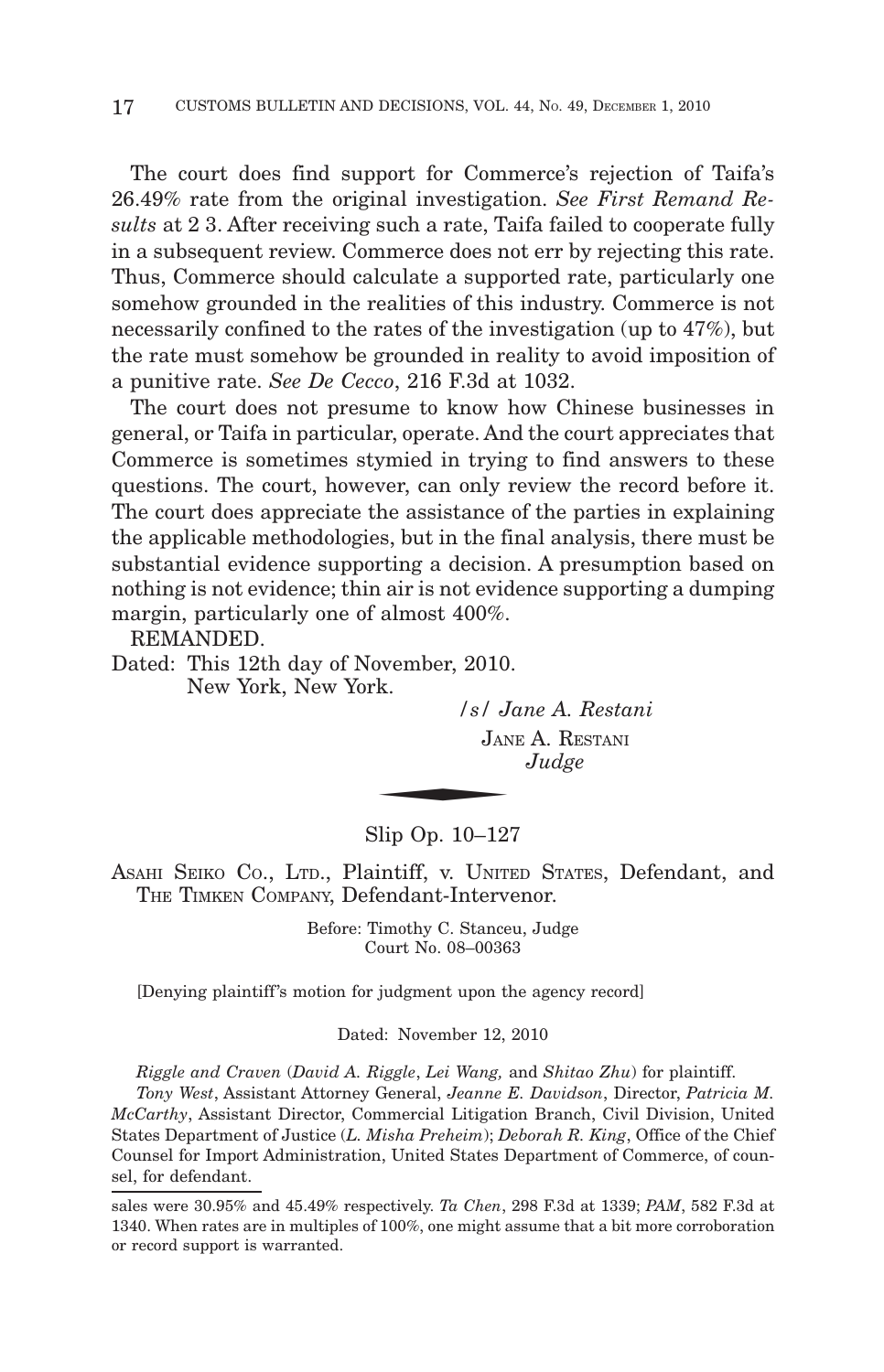The court does find support for Commerce's rejection of Taifa's 26.49% rate from the original investigation. *See First Remand Results* at 2 3. After receiving such a rate, Taifa failed to cooperate fully in a subsequent review. Commerce does not err by rejecting this rate. Thus, Commerce should calculate a supported rate, particularly one somehow grounded in the realities of this industry. Commerce is not necessarily confined to the rates of the investigation (up to 47%), but the rate must somehow be grounded in reality to avoid imposition of a punitive rate. *See De Cecco*, 216 F.3d at 1032.

The court does not presume to know how Chinese businesses in general, or Taifa in particular, operate. And the court appreciates that Commerce is sometimes stymied in trying to find answers to these questions. The court, however, can only review the record before it. The court does appreciate the assistance of the parties in explaining the applicable methodologies, but in the final analysis, there must be substantial evidence supporting a decision. A presumption based on nothing is not evidence; thin air is not evidence supporting a dumping margin, particularly one of almost 400%.

REMANDED.

Dated: This 12th day of November, 2010.<br>
New York, New York.<br> *S/ Journal* New York, New York.

*/s/ Jane A. Restani* JANE A. RESTANI *Judge*

Slip Op. 10–127

ASAHI SEIKO CO., LTD., Plaintiff, v. UNITED STATES, Defendant, and THE TIMKEN COMPANY, Defendant-Intervenor.

> Before: Timothy C. Stanceu, Judge Court No. 08–00363

[Denying plaintiff 's motion for judgment upon the agency record]

Dated: November 12, 2010

*Riggle and Craven* (*David A. Riggle*, *Lei Wang,* and *Shitao Zhu*) for plaintiff. *Tony West*, Assistant Attorney General, *Jeanne E. Davidson*, Director, *Patricia M. McCarthy*, Assistant Director, Commercial Litigation Branch, Civil Division, United States Department of Justice (*L. Misha Preheim*); *Deborah R. King*, Office of the Chief Counsel for Import Administration, United States Department of Commerce, of counsel, for defendant.

sales were 30.95% and 45.49% respectively. *Ta Chen*, 298 F.3d at 1339; *PAM*, 582 F.3d at 1340. When rates are in multiples of 100%, one might assume that a bit more corroboration or record support is warranted.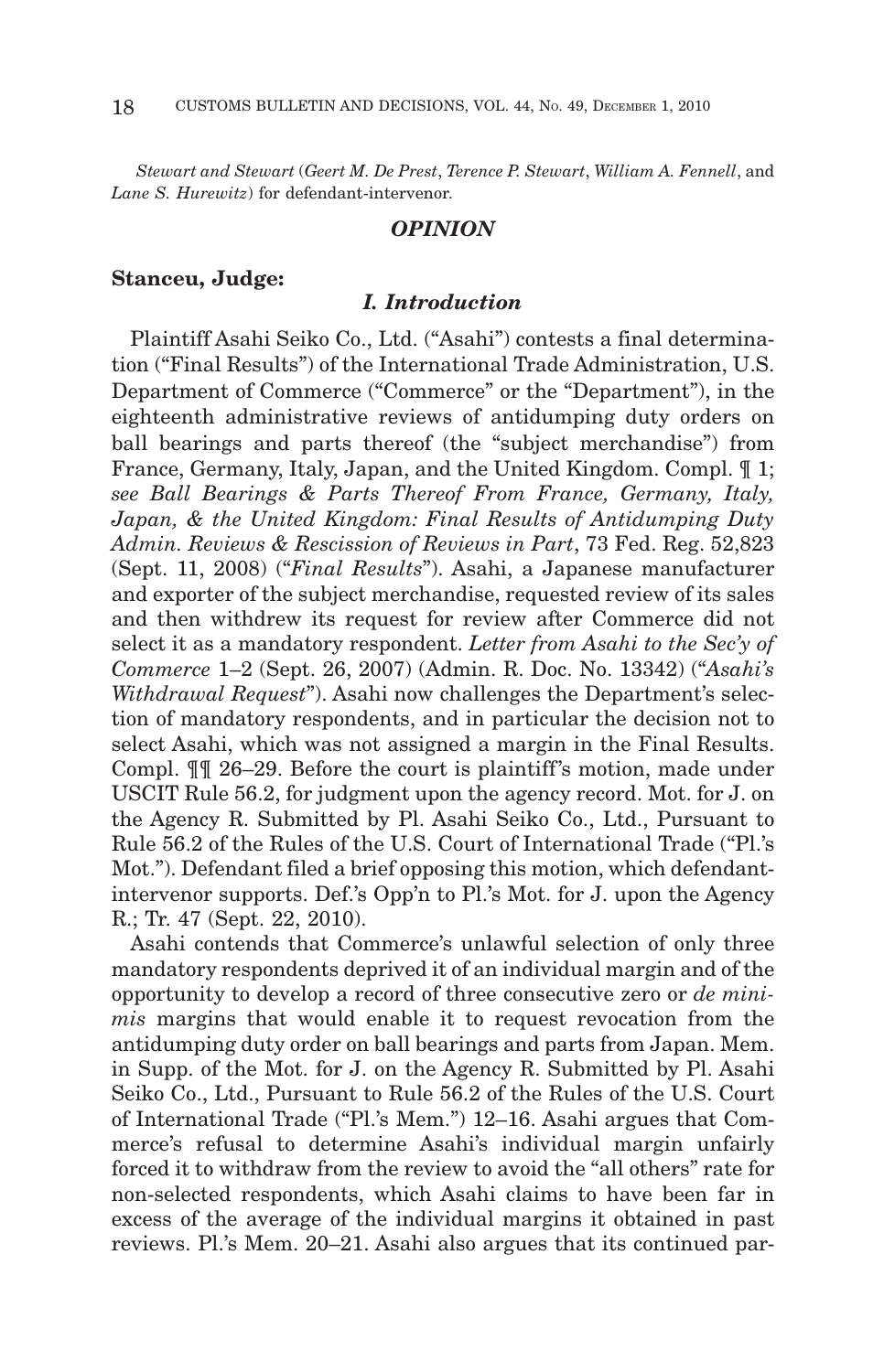*Stewart and Stewart* (*Geert M. De Prest*, *Terence P. Stewart*, *William A. Fennell*, and *Lane S. Hurewitz*) for defendant-intervenor.

# *OPINION*

#### **Stanceu, Judge:**

#### *I. Introduction*

Plaintiff Asahi Seiko Co., Ltd. ("Asahi") contests a final determination ("Final Results") of the International Trade Administration, U.S. Department of Commerce ("Commerce" or the "Department"), in the eighteenth administrative reviews of antidumping duty orders on ball bearings and parts thereof (the "subject merchandise") from France, Germany, Italy, Japan, and the United Kingdom. Compl. ¶ 1; *see Ball Bearings & Parts Thereof From France, Germany, Italy, Japan, & the United Kingdom: Final Results of Antidumping Duty Admin. Reviews & Rescission of Reviews in Part*, 73 Fed. Reg. 52,823 (Sept. 11, 2008) ("*Final Results*"). Asahi, a Japanese manufacturer and exporter of the subject merchandise, requested review of its sales and then withdrew its request for review after Commerce did not select it as a mandatory respondent. *Letter from Asahi to the Sec'y of Commerce* 1–2 (Sept. 26, 2007) (Admin. R. Doc. No. 13342) ("*Asahi's Withdrawal Request*"). Asahi now challenges the Department's selection of mandatory respondents, and in particular the decision not to select Asahi, which was not assigned a margin in the Final Results. Compl.  $\mathbb{I}$  1 26–29. Before the court is plaintiff's motion, made under USCIT Rule 56.2, for judgment upon the agency record. Mot. for J. on the Agency R. Submitted by Pl. Asahi Seiko Co., Ltd., Pursuant to Rule 56.2 of the Rules of the U.S. Court of International Trade ("Pl.'s Mot."). Defendant filed a brief opposing this motion, which defendantintervenor supports. Def.'s Opp'n to Pl.'s Mot. for J. upon the Agency R.; Tr. 47 (Sept. 22, 2010).

Asahi contends that Commerce's unlawful selection of only three mandatory respondents deprived it of an individual margin and of the opportunity to develop a record of three consecutive zero or *de minimis* margins that would enable it to request revocation from the antidumping duty order on ball bearings and parts from Japan. Mem. in Supp. of the Mot. for J. on the Agency R. Submitted by Pl. Asahi Seiko Co., Ltd., Pursuant to Rule 56.2 of the Rules of the U.S. Court of International Trade ("Pl.'s Mem.") 12–16. Asahi argues that Commerce's refusal to determine Asahi's individual margin unfairly forced it to withdraw from the review to avoid the "all others" rate for non-selected respondents, which Asahi claims to have been far in excess of the average of the individual margins it obtained in past reviews. Pl.'s Mem. 20–21. Asahi also argues that its continued par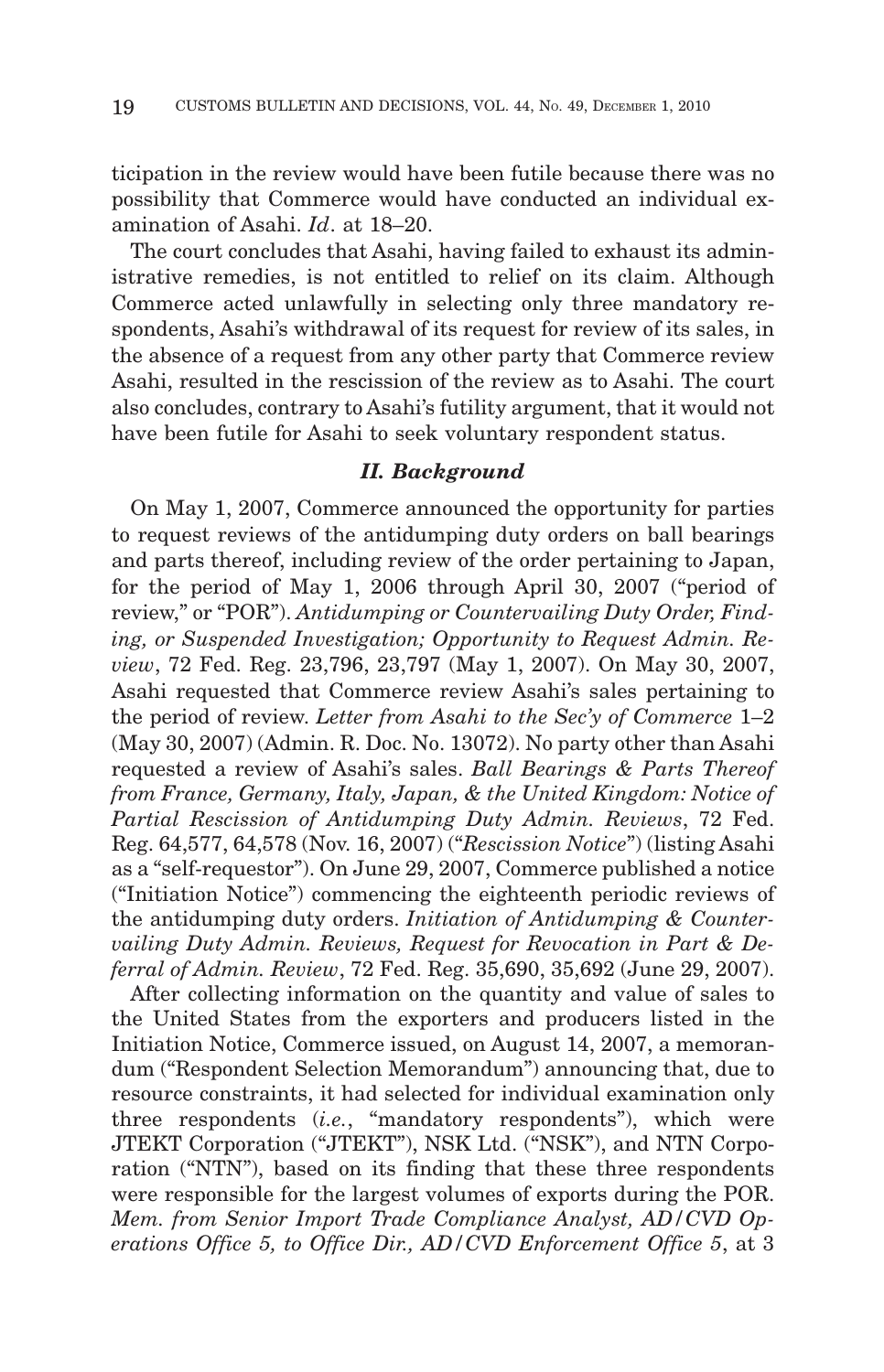ticipation in the review would have been futile because there was no possibility that Commerce would have conducted an individual examination of Asahi. *Id*. at 18–20.

The court concludes that Asahi, having failed to exhaust its administrative remedies, is not entitled to relief on its claim. Although Commerce acted unlawfully in selecting only three mandatory respondents, Asahi's withdrawal of its request for review of its sales, in the absence of a request from any other party that Commerce review Asahi, resulted in the rescission of the review as to Asahi. The court also concludes, contrary to Asahi's futility argument, that it would not have been futile for Asahi to seek voluntary respondent status.

# *II. Background*

On May 1, 2007, Commerce announced the opportunity for parties to request reviews of the antidumping duty orders on ball bearings and parts thereof, including review of the order pertaining to Japan, for the period of May 1, 2006 through April 30, 2007 ("period of review," or "POR"). *Antidumping or Countervailing Duty Order, Finding, or Suspended Investigation; Opportunity to Request Admin. Review*, 72 Fed. Reg. 23,796, 23,797 (May 1, 2007). On May 30, 2007, Asahi requested that Commerce review Asahi's sales pertaining to the period of review. *Letter from Asahi to the Sec'y of Commerce* 1–2 (May 30, 2007) (Admin. R. Doc. No. 13072). No party other than Asahi requested a review of Asahi's sales. *Ball Bearings & Parts Thereof from France, Germany, Italy, Japan, & the United Kingdom: Notice of Partial Rescission of Antidumping Duty Admin. Reviews*, 72 Fed. Reg. 64,577, 64,578 (Nov. 16, 2007) ("*Rescission Notice*") (listing Asahi as a "self-requestor"). On June 29, 2007, Commerce published a notice ("Initiation Notice") commencing the eighteenth periodic reviews of the antidumping duty orders. *Initiation of Antidumping & Countervailing Duty Admin. Reviews, Request for Revocation in Part & Deferral of Admin. Review*, 72 Fed. Reg. 35,690, 35,692 (June 29, 2007).

After collecting information on the quantity and value of sales to the United States from the exporters and producers listed in the Initiation Notice, Commerce issued, on August 14, 2007, a memorandum ("Respondent Selection Memorandum") announcing that, due to resource constraints, it had selected for individual examination only three respondents (*i.e.*, "mandatory respondents"), which were JTEKT Corporation ("JTEKT"), NSK Ltd. ("NSK"), and NTN Corporation ("NTN"), based on its finding that these three respondents were responsible for the largest volumes of exports during the POR. *Mem. from Senior Import Trade Compliance Analyst, AD/CVD Operations Office 5, to Office Dir., AD/CVD Enforcement Office 5*, at 3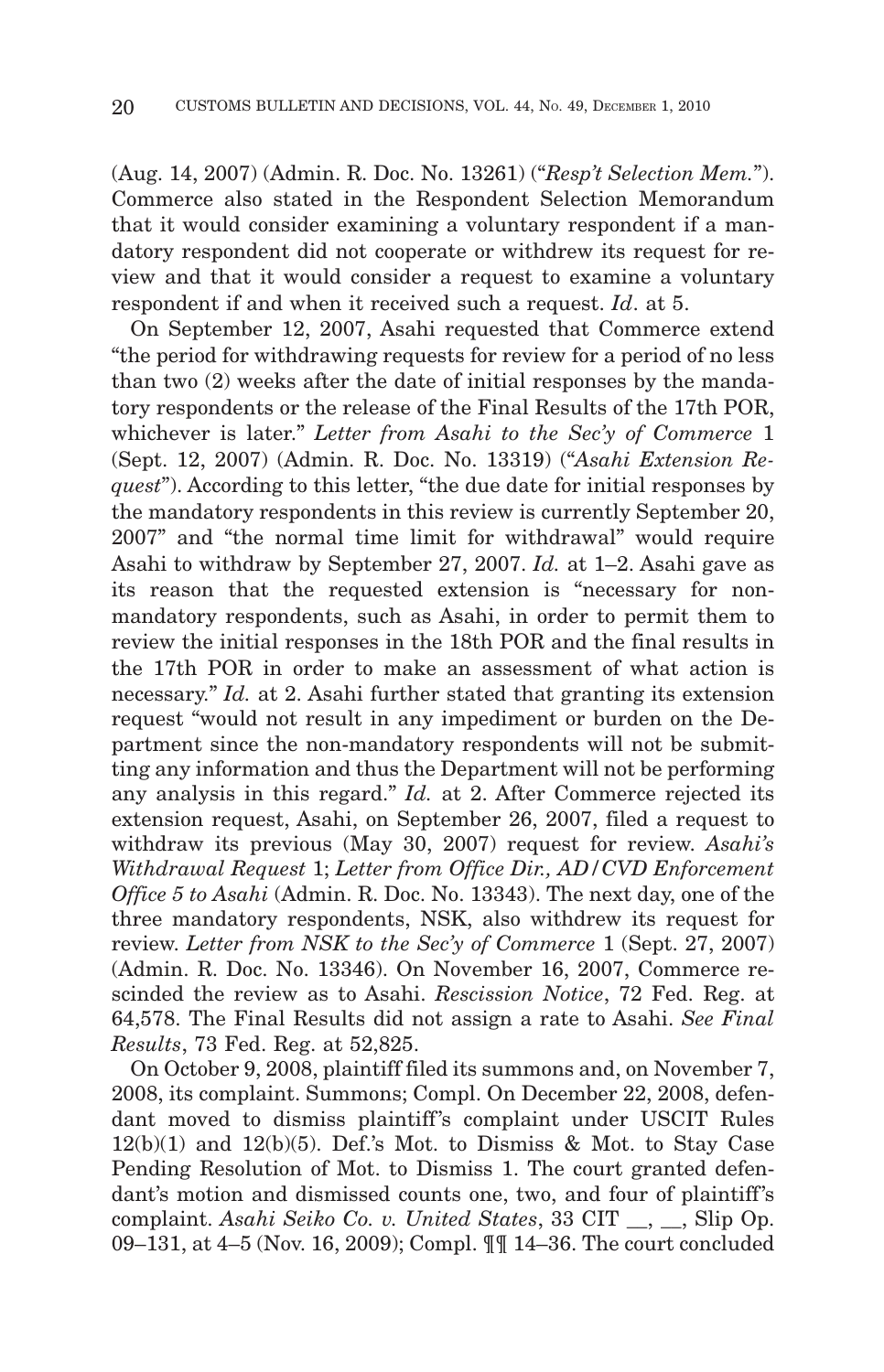(Aug. 14, 2007) (Admin. R. Doc. No. 13261) ("*Resp't Selection Mem.*"). Commerce also stated in the Respondent Selection Memorandum that it would consider examining a voluntary respondent if a mandatory respondent did not cooperate or withdrew its request for review and that it would consider a request to examine a voluntary respondent if and when it received such a request. *Id*. at 5.

On September 12, 2007, Asahi requested that Commerce extend "the period for withdrawing requests for review for a period of no less than two (2) weeks after the date of initial responses by the mandatory respondents or the release of the Final Results of the 17th POR, whichever is later." *Letter from Asahi to the Sec'y of Commerce* 1 (Sept. 12, 2007) (Admin. R. Doc. No. 13319) ("*Asahi Extension Request*"). According to this letter, "the due date for initial responses by the mandatory respondents in this review is currently September 20, 2007" and "the normal time limit for withdrawal" would require Asahi to withdraw by September 27, 2007. *Id.* at 1–2. Asahi gave as its reason that the requested extension is "necessary for nonmandatory respondents, such as Asahi, in order to permit them to review the initial responses in the 18th POR and the final results in the 17th POR in order to make an assessment of what action is necessary." *Id.* at 2. Asahi further stated that granting its extension request "would not result in any impediment or burden on the Department since the non-mandatory respondents will not be submitting any information and thus the Department will not be performing any analysis in this regard." *Id.* at 2. After Commerce rejected its extension request, Asahi, on September 26, 2007, filed a request to withdraw its previous (May 30, 2007) request for review. *Asahi's Withdrawal Request* 1; *Letter from Office Dir., AD/CVD Enforcement Office 5 to Asahi* (Admin. R. Doc. No. 13343). The next day, one of the three mandatory respondents, NSK, also withdrew its request for review. *Letter from NSK to the Sec'y of Commerce* 1 (Sept. 27, 2007) (Admin. R. Doc. No. 13346). On November 16, 2007, Commerce rescinded the review as to Asahi. *Rescission Notice*, 72 Fed. Reg. at 64,578. The Final Results did not assign a rate to Asahi. *See Final Results*, 73 Fed. Reg. at 52,825.

On October 9, 2008, plaintiff filed its summons and, on November 7, 2008, its complaint. Summons; Compl. On December 22, 2008, defendant moved to dismiss plaintiff's complaint under USCIT Rules  $12(b)(1)$  and  $12(b)(5)$ . Def.'s Mot. to Dismiss & Mot. to Stay Case Pending Resolution of Mot. to Dismiss 1. The court granted defendant's motion and dismissed counts one, two, and four of plaintiff's complaint. *Asahi Seiko Co. v. United States*, 33 CIT \_\_, \_\_, Slip Op. 09–131, at 4–5 (Nov. 16, 2009); Compl. ¶¶ 14–36. The court concluded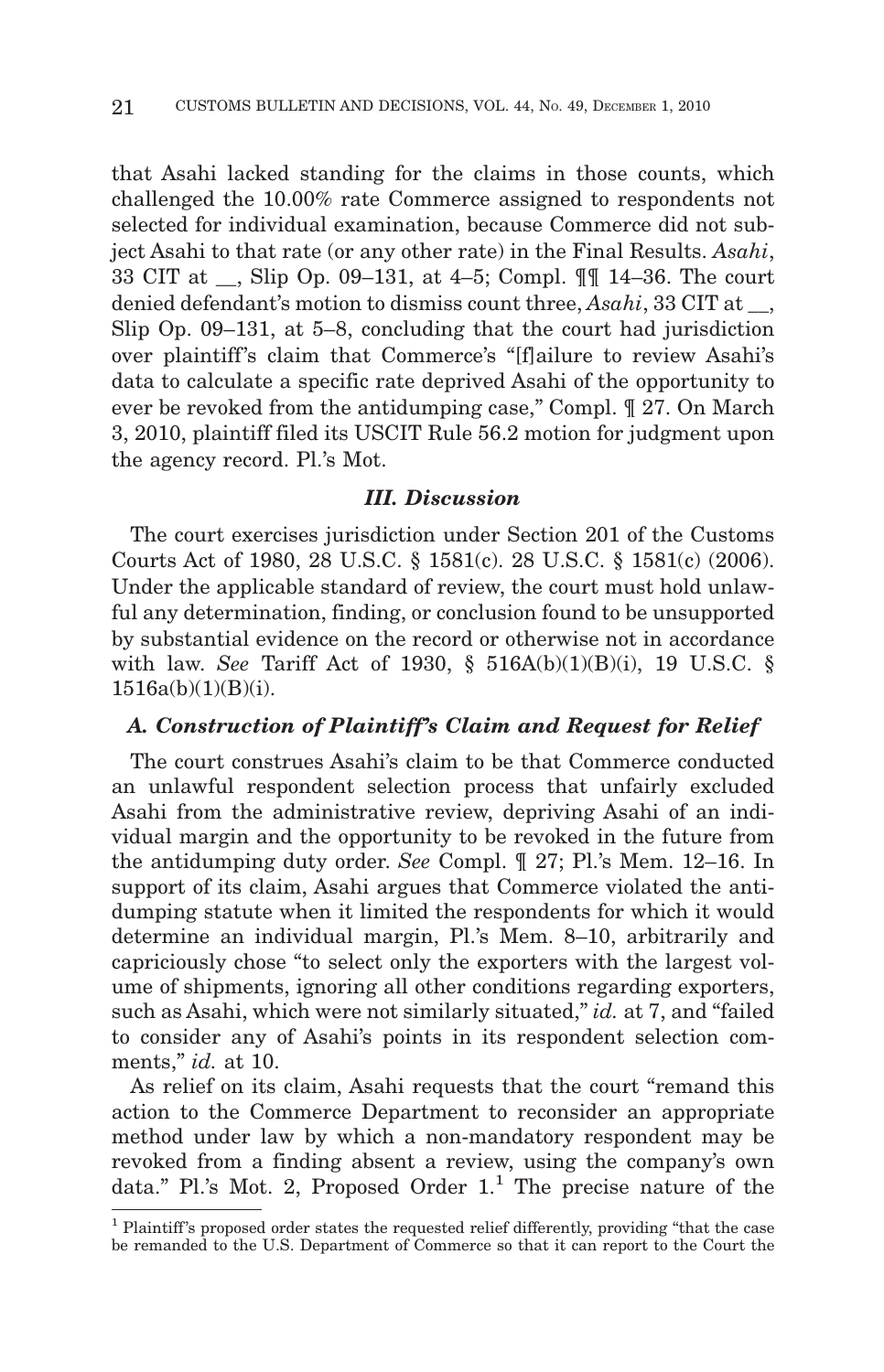that Asahi lacked standing for the claims in those counts, which challenged the 10.00% rate Commerce assigned to respondents not selected for individual examination, because Commerce did not subject Asahi to that rate (or any other rate) in the Final Results. *Asahi*, 33 CIT at \_\_, Slip Op. 09–131, at 4–5; Compl. ¶¶ 14–36. The court denied defendant's motion to dismiss count three, *Asahi*, 33 CIT at \_\_, Slip Op. 09–131, at 5–8, concluding that the court had jurisdiction over plaintiff's claim that Commerce's "[f]ailure to review Asahi's data to calculate a specific rate deprived Asahi of the opportunity to ever be revoked from the antidumping case," Compl. ¶ 27. On March 3, 2010, plaintiff filed its USCIT Rule 56.2 motion for judgment upon the agency record. Pl.'s Mot.

#### *III. Discussion*

The court exercises jurisdiction under Section 201 of the Customs Courts Act of 1980, 28 U.S.C. § 1581(c). 28 U.S.C. § 1581(c) (2006). Under the applicable standard of review, the court must hold unlawful any determination, finding, or conclusion found to be unsupported by substantial evidence on the record or otherwise not in accordance with law. *See* Tariff Act of 1930, § 516A(b)(1)(B)(i), 19 U.S.C. § 1516a(b)(1)(B)(i).

# *A. Construction of Plaintiff's Claim and Request for Relief*

The court construes Asahi's claim to be that Commerce conducted an unlawful respondent selection process that unfairly excluded Asahi from the administrative review, depriving Asahi of an individual margin and the opportunity to be revoked in the future from the antidumping duty order. *See* Compl. ¶ 27; Pl.'s Mem. 12–16. In support of its claim, Asahi argues that Commerce violated the antidumping statute when it limited the respondents for which it would determine an individual margin, Pl.'s Mem. 8–10, arbitrarily and capriciously chose "to select only the exporters with the largest volume of shipments, ignoring all other conditions regarding exporters, such as Asahi, which were not similarly situated," *id.* at 7, and "failed to consider any of Asahi's points in its respondent selection comments," *id.* at 10.

As relief on its claim, Asahi requests that the court "remand this action to the Commerce Department to reconsider an appropriate method under law by which a non-mandatory respondent may be revoked from a finding absent a review, using the company's own data." Pl.'s Mot. 2, Proposed Order 1.<sup>1</sup> The precise nature of the

 $<sup>1</sup>$  Plaintiff's proposed order states the requested relief differently, providing "that the case</sup> be remanded to the U.S. Department of Commerce so that it can report to the Court the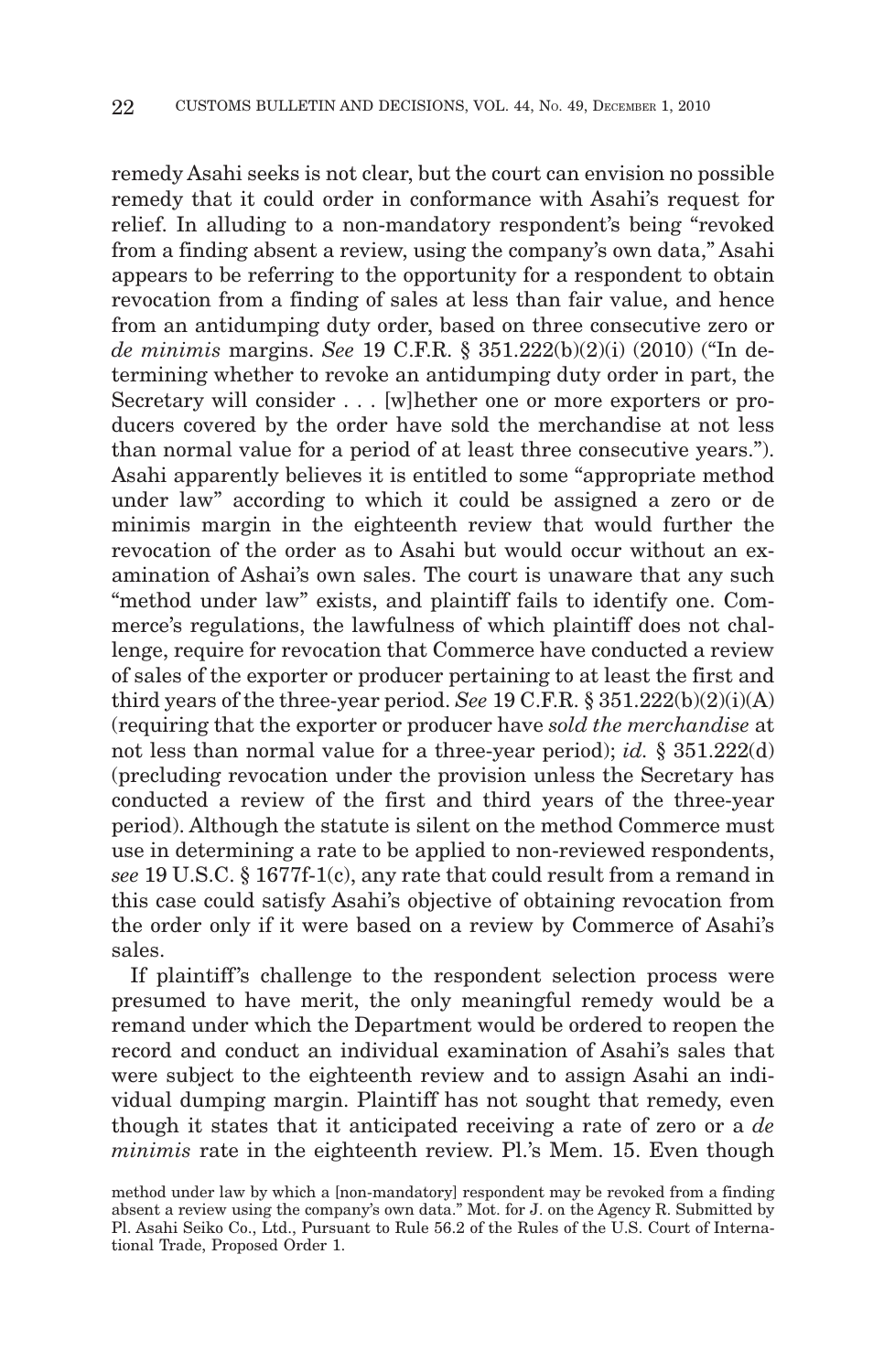remedy Asahi seeks is not clear, but the court can envision no possible remedy that it could order in conformance with Asahi's request for relief. In alluding to a non-mandatory respondent's being "revoked from a finding absent a review, using the company's own data," Asahi appears to be referring to the opportunity for a respondent to obtain revocation from a finding of sales at less than fair value, and hence from an antidumping duty order, based on three consecutive zero or *de minimis* margins. *See* 19 C.F.R. § 351.222(b)(2)(i) (2010) ("In determining whether to revoke an antidumping duty order in part, the Secretary will consider . . . [w]hether one or more exporters or producers covered by the order have sold the merchandise at not less than normal value for a period of at least three consecutive years."). Asahi apparently believes it is entitled to some "appropriate method under law" according to which it could be assigned a zero or de minimis margin in the eighteenth review that would further the revocation of the order as to Asahi but would occur without an examination of Ashai's own sales. The court is unaware that any such "method under law" exists, and plaintiff fails to identify one. Commerce's regulations, the lawfulness of which plaintiff does not challenge, require for revocation that Commerce have conducted a review of sales of the exporter or producer pertaining to at least the first and third years of the three-year period. *See* 19 C.F.R. § 351.222(b)(2)(i)(A) (requiring that the exporter or producer have *sold the merchandise* at not less than normal value for a three-year period); *id.* § 351.222(d) (precluding revocation under the provision unless the Secretary has conducted a review of the first and third years of the three-year period). Although the statute is silent on the method Commerce must use in determining a rate to be applied to non-reviewed respondents, *see* 19 U.S.C. § 1677f-1(c), any rate that could result from a remand in this case could satisfy Asahi's objective of obtaining revocation from the order only if it were based on a review by Commerce of Asahi's sales.

If plaintiff's challenge to the respondent selection process were presumed to have merit, the only meaningful remedy would be a remand under which the Department would be ordered to reopen the record and conduct an individual examination of Asahi's sales that were subject to the eighteenth review and to assign Asahi an individual dumping margin. Plaintiff has not sought that remedy, even though it states that it anticipated receiving a rate of zero or a *de minimis* rate in the eighteenth review. Pl.'s Mem. 15. Even though

method under law by which a [non-mandatory] respondent may be revoked from a finding absent a review using the company's own data." Mot. for J. on the Agency R. Submitted by Pl. Asahi Seiko Co., Ltd., Pursuant to Rule 56.2 of the Rules of the U.S. Court of International Trade, Proposed Order 1.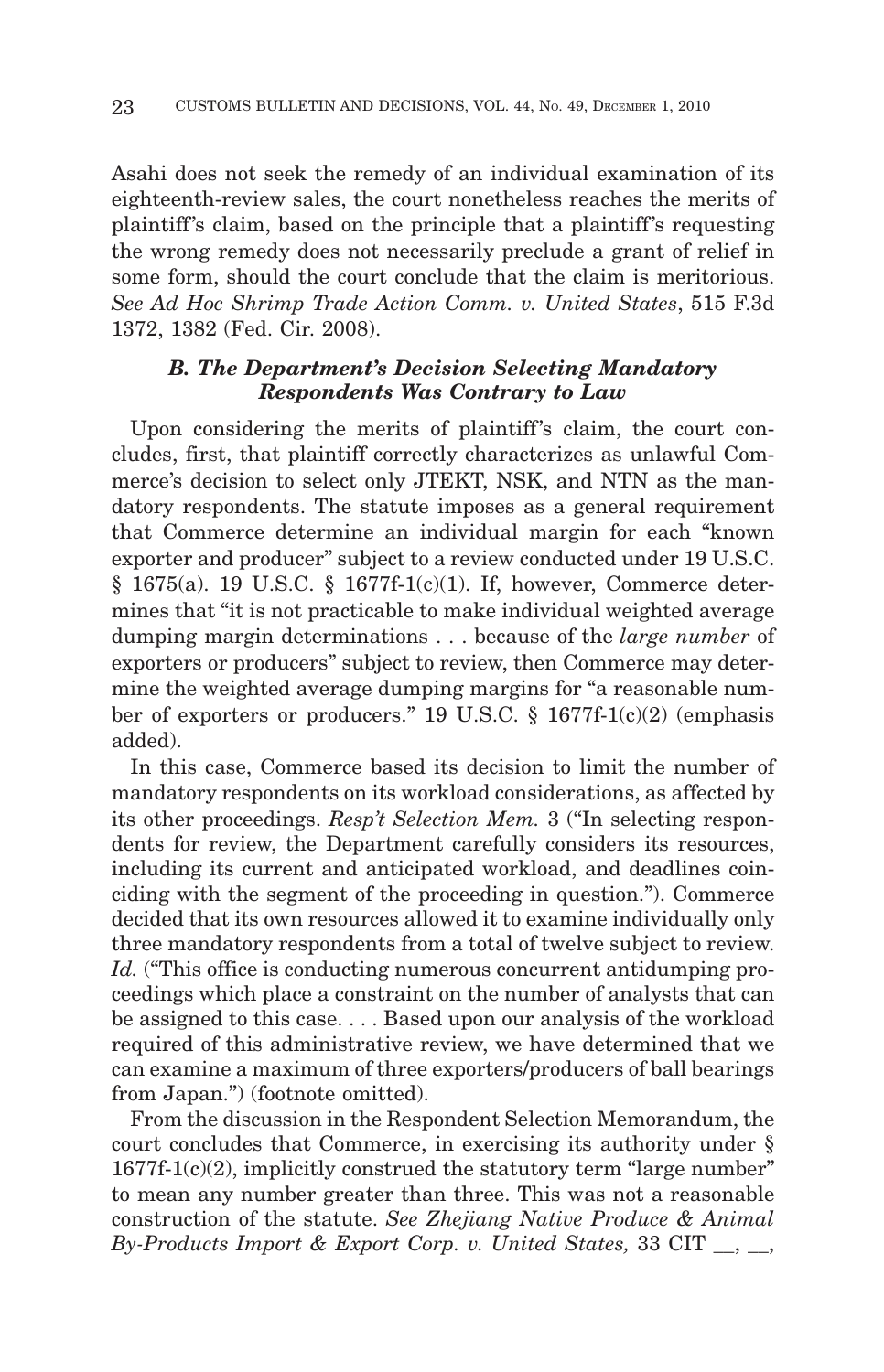Asahi does not seek the remedy of an individual examination of its eighteenth-review sales, the court nonetheless reaches the merits of plaintiff's claim, based on the principle that a plaintiff's requesting the wrong remedy does not necessarily preclude a grant of relief in some form, should the court conclude that the claim is meritorious. *See Ad Hoc Shrimp Trade Action Comm. v. United States*, 515 F.3d 1372, 1382 (Fed. Cir. 2008).

# *B. The Department's Decision Selecting Mandatory Respondents Was Contrary to Law*

Upon considering the merits of plaintiff's claim, the court concludes, first, that plaintiff correctly characterizes as unlawful Commerce's decision to select only JTEKT, NSK, and NTN as the mandatory respondents. The statute imposes as a general requirement that Commerce determine an individual margin for each "known exporter and producer" subject to a review conducted under 19 U.S.C. § 1675(a). 19 U.S.C. § 1677f-1(c)(1). If, however, Commerce determines that "it is not practicable to make individual weighted average dumping margin determinations . . . because of the *large number* of exporters or producers" subject to review, then Commerce may determine the weighted average dumping margins for "a reasonable number of exporters or producers." 19 U.S.C. § 1677f-1(c)(2) (emphasis added).

In this case, Commerce based its decision to limit the number of mandatory respondents on its workload considerations, as affected by its other proceedings. *Resp't Selection Mem.* 3 ("In selecting respondents for review, the Department carefully considers its resources, including its current and anticipated workload, and deadlines coinciding with the segment of the proceeding in question."). Commerce decided that its own resources allowed it to examine individually only three mandatory respondents from a total of twelve subject to review. Id. ("This office is conducting numerous concurrent antidumping proceedings which place a constraint on the number of analysts that can be assigned to this case.... Based upon our analysis of the workload required of this administrative review, we have determined that we can examine a maximum of three exporters/producers of ball bearings from Japan.") (footnote omitted).

From the discussion in the Respondent Selection Memorandum, the court concludes that Commerce, in exercising its authority under §  $1677f-1(c)(2)$ , implicitly construed the statutory term "large number" to mean any number greater than three. This was not a reasonable construction of the statute. *See Zhejiang Native Produce & Animal By-Products Import & Export Corp. v. United States,* 33 CIT \_\_, \_\_,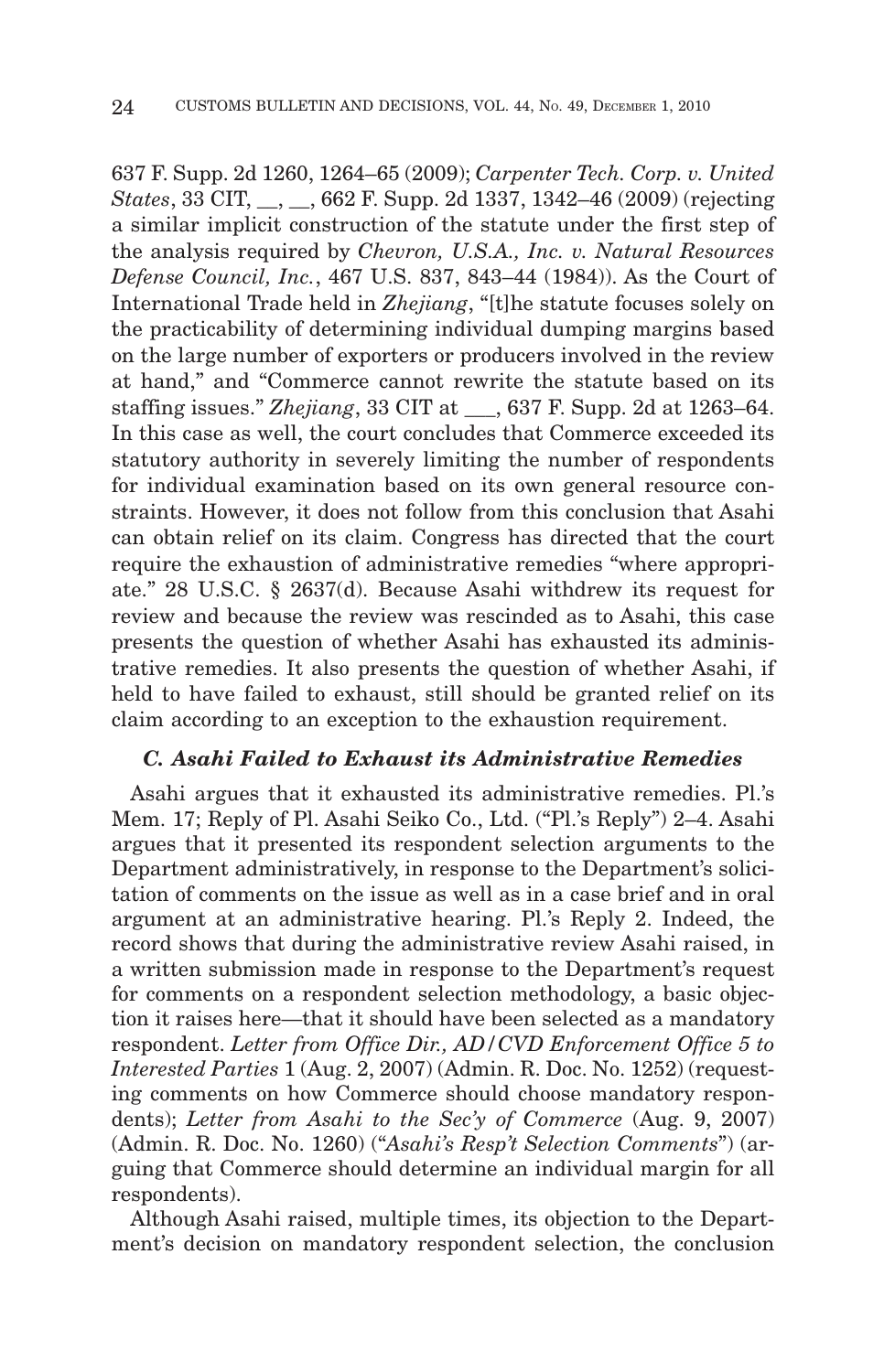637 F. Supp. 2d 1260, 1264–65 (2009); *Carpenter Tech. Corp. v. United States*, 33 CIT, \_\_, \_\_, 662 F. Supp. 2d 1337, 1342–46 (2009) (rejecting a similar implicit construction of the statute under the first step of the analysis required by *Chevron, U.S.A., Inc. v. Natural Resources Defense Council, Inc.*, 467 U.S. 837, 843–44 (1984)). As the Court of International Trade held in *Zhejiang*, "[t]he statute focuses solely on the practicability of determining individual dumping margins based on the large number of exporters or producers involved in the review at hand," and "Commerce cannot rewrite the statute based on its staffing issues." *Zhejiang*, 33 CIT at \_\_\_, 637 F. Supp. 2d at 1263–64. In this case as well, the court concludes that Commerce exceeded its statutory authority in severely limiting the number of respondents for individual examination based on its own general resource constraints. However, it does not follow from this conclusion that Asahi can obtain relief on its claim. Congress has directed that the court require the exhaustion of administrative remedies "where appropriate." 28 U.S.C. § 2637(d). Because Asahi withdrew its request for review and because the review was rescinded as to Asahi, this case presents the question of whether Asahi has exhausted its administrative remedies. It also presents the question of whether Asahi, if held to have failed to exhaust, still should be granted relief on its claim according to an exception to the exhaustion requirement.

## *C. Asahi Failed to Exhaust its Administrative Remedies*

Asahi argues that it exhausted its administrative remedies. Pl.'s Mem. 17; Reply of Pl. Asahi Seiko Co., Ltd. ("Pl.'s Reply") 2–4. Asahi argues that it presented its respondent selection arguments to the Department administratively, in response to the Department's solicitation of comments on the issue as well as in a case brief and in oral argument at an administrative hearing. Pl.'s Reply 2. Indeed, the record shows that during the administrative review Asahi raised, in a written submission made in response to the Department's request for comments on a respondent selection methodology, a basic objection it raises here—that it should have been selected as a mandatory respondent. *Letter from Office Dir., AD/CVD Enforcement Office 5 to Interested Parties* 1 (Aug. 2, 2007) (Admin. R. Doc. No. 1252) (requesting comments on how Commerce should choose mandatory respondents); *Letter from Asahi to the Sec'y of Commerce* (Aug. 9, 2007) (Admin. R. Doc. No. 1260) ("*Asahi's Resp't Selection Comments*") (arguing that Commerce should determine an individual margin for all respondents).

Although Asahi raised, multiple times, its objection to the Department's decision on mandatory respondent selection, the conclusion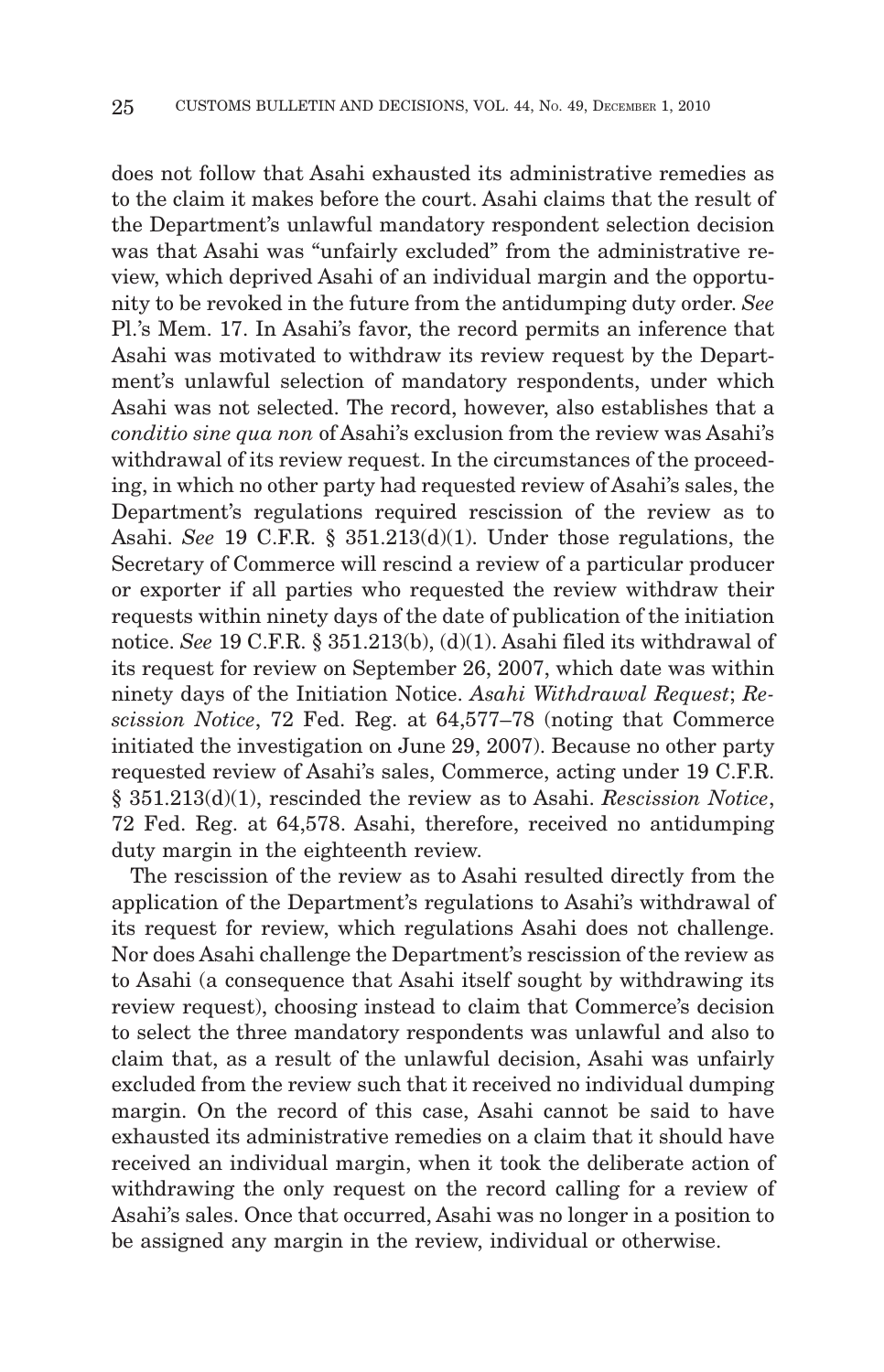does not follow that Asahi exhausted its administrative remedies as to the claim it makes before the court. Asahi claims that the result of the Department's unlawful mandatory respondent selection decision was that Asahi was "unfairly excluded" from the administrative review, which deprived Asahi of an individual margin and the opportunity to be revoked in the future from the antidumping duty order. *See* Pl.'s Mem. 17. In Asahi's favor, the record permits an inference that Asahi was motivated to withdraw its review request by the Department's unlawful selection of mandatory respondents, under which Asahi was not selected. The record, however, also establishes that a *conditio sine qua non* of Asahi's exclusion from the review was Asahi's withdrawal of its review request. In the circumstances of the proceeding, in which no other party had requested review of Asahi's sales, the Department's regulations required rescission of the review as to Asahi. *See* 19 C.F.R. § 351.213(d)(1). Under those regulations, the Secretary of Commerce will rescind a review of a particular producer or exporter if all parties who requested the review withdraw their requests within ninety days of the date of publication of the initiation notice. *See* 19 C.F.R. § 351.213(b), (d)(1). Asahi filed its withdrawal of its request for review on September 26, 2007, which date was within ninety days of the Initiation Notice. *Asahi Withdrawal Request*; *Rescission Notice*, 72 Fed. Reg. at 64,577–78 (noting that Commerce initiated the investigation on June 29, 2007). Because no other party requested review of Asahi's sales, Commerce, acting under 19 C.F.R. § 351.213(d)(1), rescinded the review as to Asahi. *Rescission Notice*, 72 Fed. Reg. at 64,578. Asahi, therefore, received no antidumping duty margin in the eighteenth review.

The rescission of the review as to Asahi resulted directly from the application of the Department's regulations to Asahi's withdrawal of its request for review, which regulations Asahi does not challenge. Nor does Asahi challenge the Department's rescission of the review as to Asahi (a consequence that Asahi itself sought by withdrawing its review request), choosing instead to claim that Commerce's decision to select the three mandatory respondents was unlawful and also to claim that, as a result of the unlawful decision, Asahi was unfairly excluded from the review such that it received no individual dumping margin. On the record of this case, Asahi cannot be said to have exhausted its administrative remedies on a claim that it should have received an individual margin, when it took the deliberate action of withdrawing the only request on the record calling for a review of Asahi's sales. Once that occurred, Asahi was no longer in a position to be assigned any margin in the review, individual or otherwise.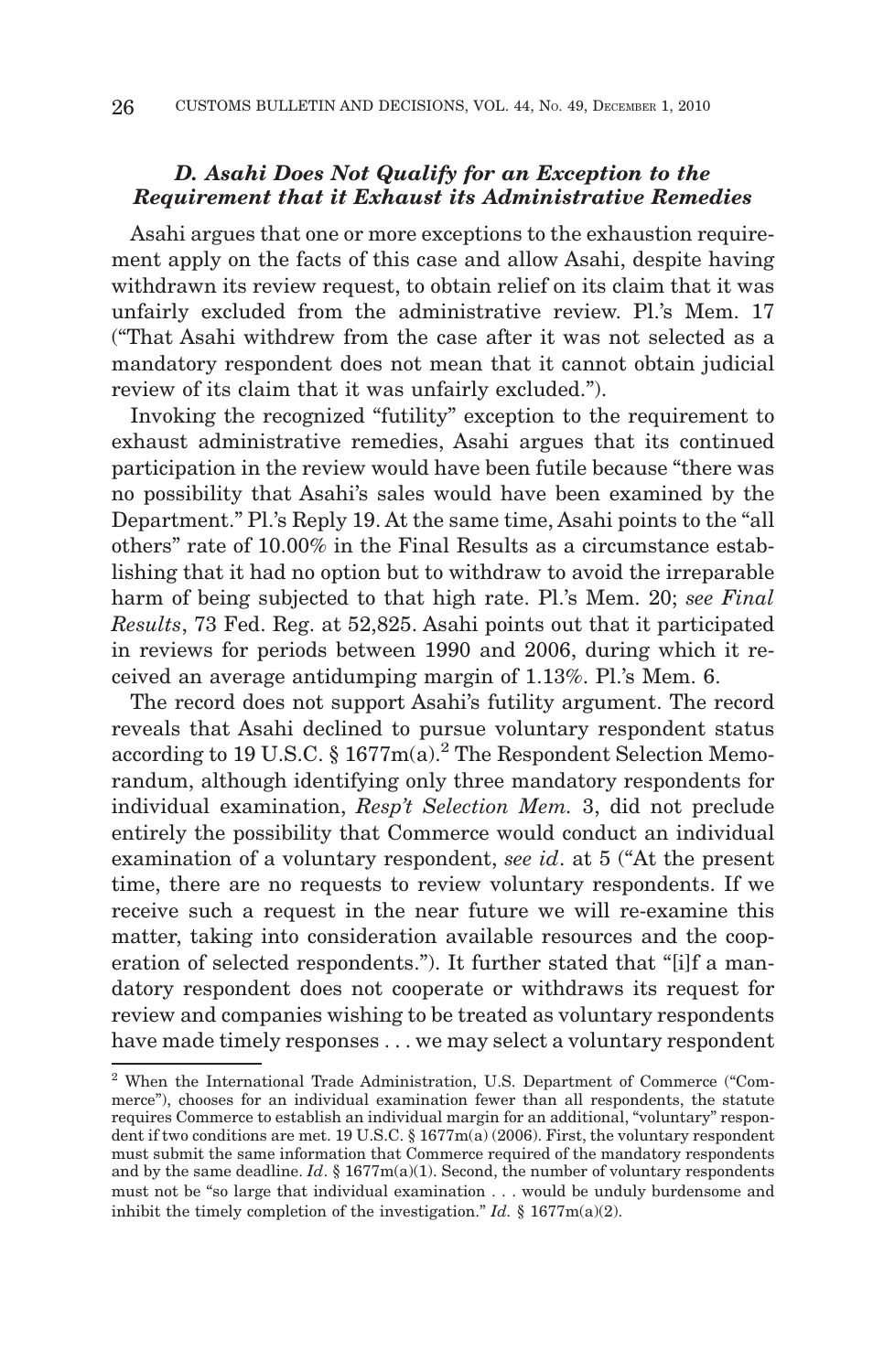# *D. Asahi Does Not Qualify for an Exception to the Requirement that it Exhaust its Administrative Remedies*

Asahi argues that one or more exceptions to the exhaustion requirement apply on the facts of this case and allow Asahi, despite having withdrawn its review request, to obtain relief on its claim that it was unfairly excluded from the administrative review. Pl.'s Mem. 17 ("That Asahi withdrew from the case after it was not selected as a mandatory respondent does not mean that it cannot obtain judicial review of its claim that it was unfairly excluded.").

Invoking the recognized "futility" exception to the requirement to exhaust administrative remedies, Asahi argues that its continued participation in the review would have been futile because "there was no possibility that Asahi's sales would have been examined by the Department." Pl.'s Reply 19. At the same time, Asahi points to the "all others" rate of 10.00% in the Final Results as a circumstance establishing that it had no option but to withdraw to avoid the irreparable harm of being subjected to that high rate. Pl.'s Mem. 20; *see Final Results*, 73 Fed. Reg. at 52,825. Asahi points out that it participated in reviews for periods between 1990 and 2006, during which it received an average antidumping margin of 1.13%. Pl.'s Mem. 6.

The record does not support Asahi's futility argument. The record reveals that Asahi declined to pursue voluntary respondent status according to 19 U.S.C. § 1677 $m(a)$ .<sup>2</sup> The Respondent Selection Memorandum, although identifying only three mandatory respondents for individual examination, *Resp't Selection Mem.* 3, did not preclude entirely the possibility that Commerce would conduct an individual examination of a voluntary respondent, *see id*. at 5 ("At the present time, there are no requests to review voluntary respondents. If we receive such a request in the near future we will re-examine this matter, taking into consideration available resources and the cooperation of selected respondents."). It further stated that "[i]f a mandatory respondent does not cooperate or withdraws its request for review and companies wishing to be treated as voluntary respondents have made timely responses . . . we may select a voluntary respondent

<sup>2</sup> When the International Trade Administration, U.S. Department of Commerce ("Commerce"), chooses for an individual examination fewer than all respondents, the statute requires Commerce to establish an individual margin for an additional, "voluntary" respondent if two conditions are met. 19 U.S.C. § 1677m(a) (2006). First, the voluntary respondent must submit the same information that Commerce required of the mandatory respondents and by the same deadline.  $Id. \S$  1677m(a)(1). Second, the number of voluntary respondents must not be "so large that individual examination ...would be unduly burdensome and inhibit the timely completion of the investigation." *Id.*  $\S$  1677m(a)(2).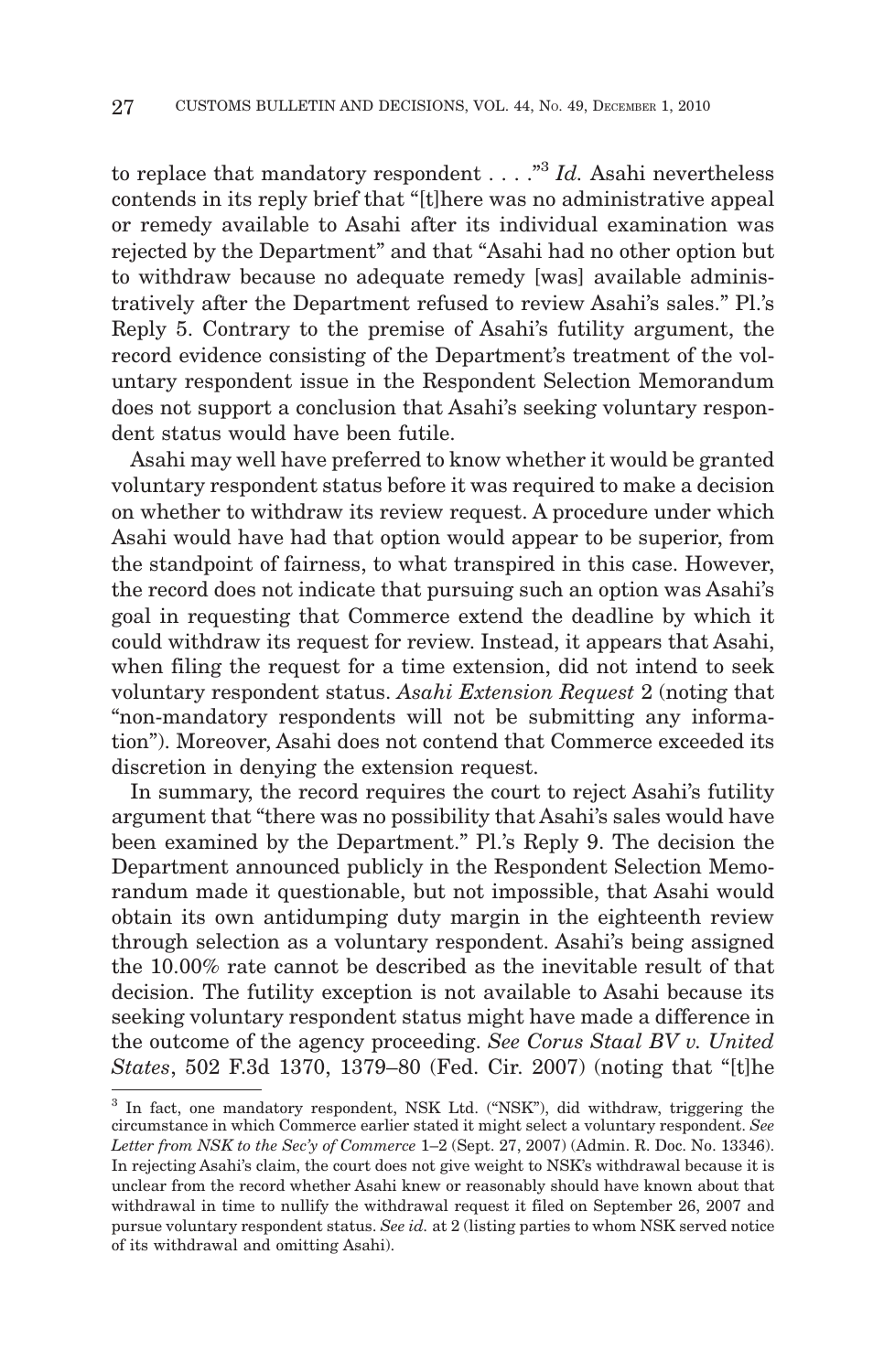to replace that mandatory respondent  $\ldots$  ."<sup>3</sup> *Id.* Asahi nevertheless contends in its reply brief that "[t]here was no administrative appeal or remedy available to Asahi after its individual examination was rejected by the Department" and that "Asahi had no other option but to withdraw because no adequate remedy [was] available administratively after the Department refused to review Asahi's sales." Pl.'s Reply 5. Contrary to the premise of Asahi's futility argument, the record evidence consisting of the Department's treatment of the voluntary respondent issue in the Respondent Selection Memorandum does not support a conclusion that Asahi's seeking voluntary respondent status would have been futile.

Asahi may well have preferred to know whether it would be granted voluntary respondent status before it was required to make a decision on whether to withdraw its review request. A procedure under which Asahi would have had that option would appear to be superior, from the standpoint of fairness, to what transpired in this case. However, the record does not indicate that pursuing such an option was Asahi's goal in requesting that Commerce extend the deadline by which it could withdraw its request for review. Instead, it appears that Asahi, when filing the request for a time extension, did not intend to seek voluntary respondent status. *Asahi Extension Request* 2 (noting that "non-mandatory respondents will not be submitting any information"). Moreover, Asahi does not contend that Commerce exceeded its discretion in denying the extension request.

In summary, the record requires the court to reject Asahi's futility argument that "there was no possibility that Asahi's sales would have been examined by the Department." Pl.'s Reply 9. The decision the Department announced publicly in the Respondent Selection Memorandum made it questionable, but not impossible, that Asahi would obtain its own antidumping duty margin in the eighteenth review through selection as a voluntary respondent. Asahi's being assigned the 10.00% rate cannot be described as the inevitable result of that decision. The futility exception is not available to Asahi because its seeking voluntary respondent status might have made a difference in the outcome of the agency proceeding. *See Corus Staal BV v. United States*, 502 F.3d 1370, 1379–80 (Fed. Cir. 2007) (noting that "[t]he

<sup>3</sup> In fact, one mandatory respondent, NSK Ltd. ("NSK"), did withdraw, triggering the circumstance in which Commerce earlier stated it might select a voluntary respondent. *See Letter from NSK to the Sec'y of Commerce* 1–2 (Sept. 27, 2007) (Admin. R. Doc. No. 13346). In rejecting Asahi's claim, the court does not give weight to NSK's withdrawal because it is unclear from the record whether Asahi knew or reasonably should have known about that withdrawal in time to nullify the withdrawal request it filed on September 26, 2007 and pursue voluntary respondent status. *See id.* at 2 (listing parties to whom NSK served notice of its withdrawal and omitting Asahi).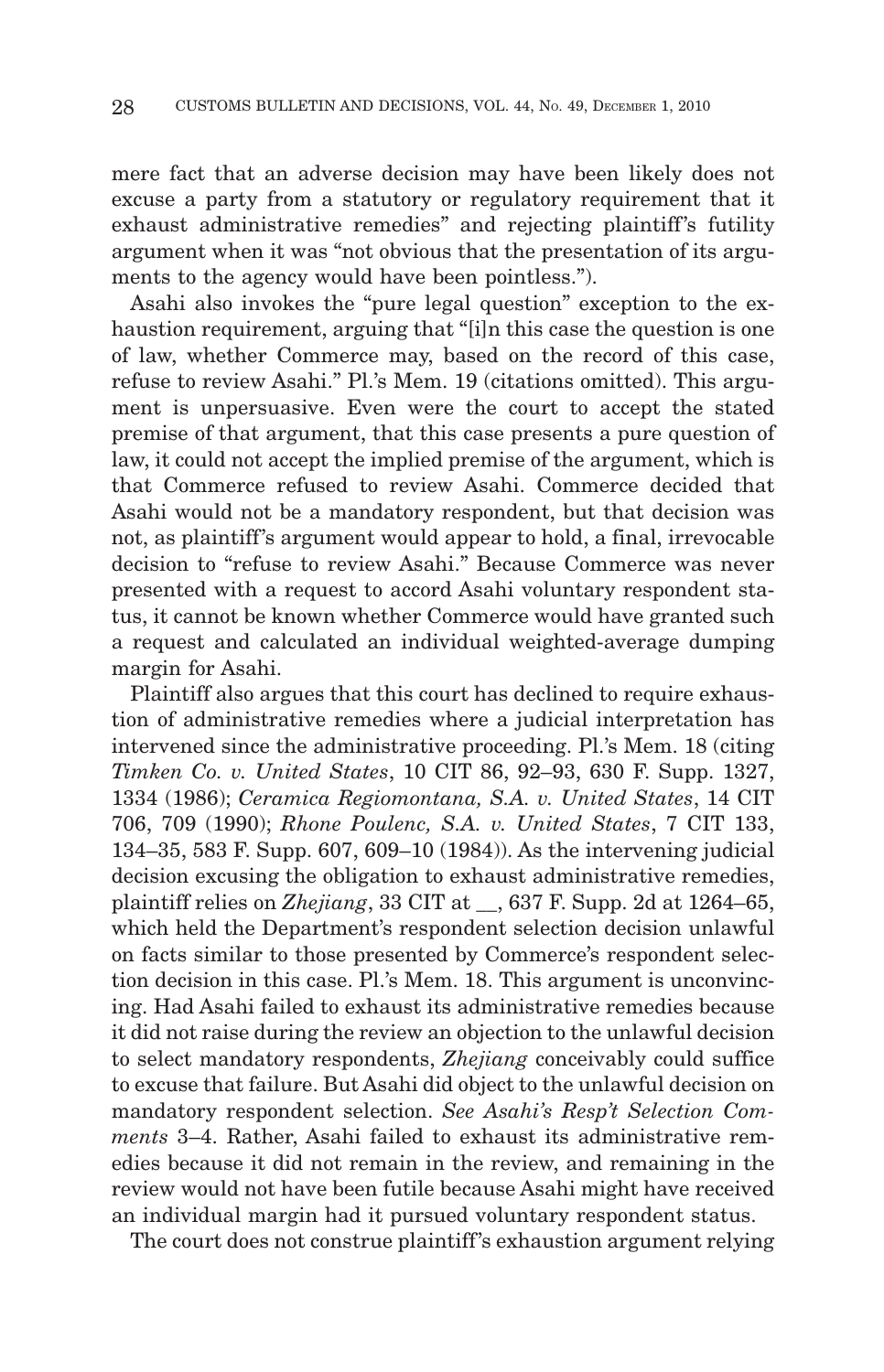mere fact that an adverse decision may have been likely does not excuse a party from a statutory or regulatory requirement that it exhaust administrative remedies" and rejecting plaintiff's futility argument when it was "not obvious that the presentation of its arguments to the agency would have been pointless.").

Asahi also invokes the "pure legal question" exception to the exhaustion requirement, arguing that "[i]n this case the question is one of law, whether Commerce may, based on the record of this case, refuse to review Asahi." Pl.'s Mem. 19 (citations omitted). This argument is unpersuasive. Even were the court to accept the stated premise of that argument, that this case presents a pure question of law, it could not accept the implied premise of the argument, which is that Commerce refused to review Asahi. Commerce decided that Asahi would not be a mandatory respondent, but that decision was not, as plaintiff's argument would appear to hold, a final, irrevocable decision to "refuse to review Asahi." Because Commerce was never presented with a request to accord Asahi voluntary respondent status, it cannot be known whether Commerce would have granted such a request and calculated an individual weighted-average dumping margin for Asahi.

Plaintiff also argues that this court has declined to require exhaustion of administrative remedies where a judicial interpretation has intervened since the administrative proceeding. Pl.'s Mem. 18 (citing *Timken Co. v. United States*, 10 CIT 86, 92–93, 630 F. Supp. 1327, 1334 (1986); *Ceramica Regiomontana, S.A. v. United States*, 14 CIT 706, 709 (1990); *Rhone Poulenc, S.A. v. United States*, 7 CIT 133, 134–35, 583 F. Supp. 607, 609–10 (1984)). As the intervening judicial decision excusing the obligation to exhaust administrative remedies, plaintiff relies on *Zhejiang*, 33 CIT at \_\_, 637 F. Supp. 2d at 1264–65, which held the Department's respondent selection decision unlawful on facts similar to those presented by Commerce's respondent selection decision in this case. Pl.'s Mem. 18. This argument is unconvincing. Had Asahi failed to exhaust its administrative remedies because it did not raise during the review an objection to the unlawful decision to select mandatory respondents, *Zhejiang* conceivably could suffice to excuse that failure. But Asahi did object to the unlawful decision on mandatory respondent selection. *See Asahi's Resp't Selection Comments* 3–4. Rather, Asahi failed to exhaust its administrative remedies because it did not remain in the review, and remaining in the review would not have been futile because Asahi might have received an individual margin had it pursued voluntary respondent status.

The court does not construe plaintiff's exhaustion argument relying